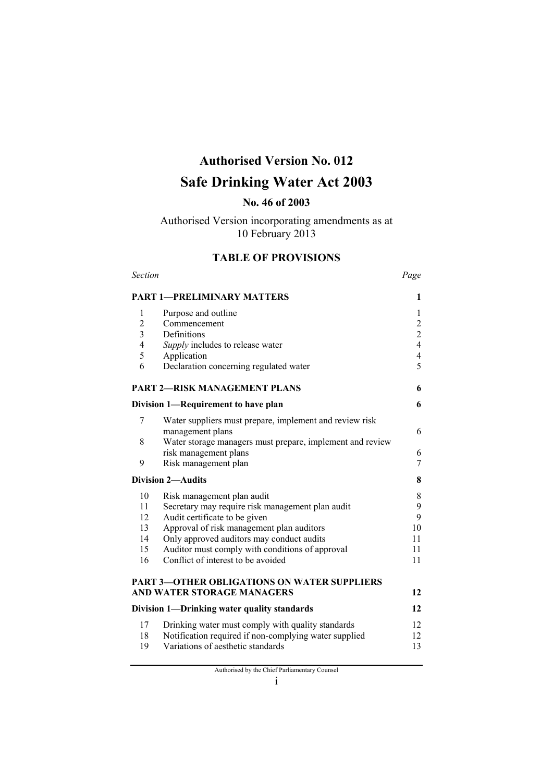# **Authorised Version No. 012**

# **Safe Drinking Water Act 2003**

### **No. 46 of 2003**

## Authorised Version incorporating amendments as at 10 February 2013

### **TABLE OF PROVISIONS**

| <b>Section</b>             |                                                           |                |
|----------------------------|-----------------------------------------------------------|----------------|
|                            | <b>PART 1-PRELIMINARY MATTERS</b>                         | 1              |
| 1                          | Purpose and outline                                       | 1              |
| $\overline{c}$             | Commencement                                              | $\overline{c}$ |
| $\overline{\mathbf{3}}$    | Definitions                                               | $\overline{c}$ |
| $\overline{4}$             | Supply includes to release water                          | $\overline{4}$ |
| 5                          | Application                                               | $\overline{4}$ |
| 6                          | Declaration concerning regulated water                    | 5              |
|                            | <b>PART 2-RISK MANAGEMENT PLANS</b>                       | 6              |
|                            | Division 1-Requirement to have plan                       | 6              |
| 7                          | Water suppliers must prepare, implement and review risk   |                |
|                            | management plans                                          | 6              |
| 8                          | Water storage managers must prepare, implement and review |                |
|                            | risk management plans                                     | 6              |
| 9                          | Risk management plan                                      | 7              |
|                            | <b>Division 2-Audits</b>                                  | 8              |
| 10                         | Risk management plan audit                                | 8              |
| 11                         | Secretary may require risk management plan audit          | 9              |
| 12                         | Audit certificate to be given                             | 9              |
| 13                         | Approval of risk management plan auditors                 | 10             |
| 14                         | Only approved auditors may conduct audits                 | 11             |
| 15                         | Auditor must comply with conditions of approval           | 11             |
| 16                         | Conflict of interest to be avoided                        | 11             |
|                            | <b>PART 3-OTHER OBLIGATIONS ON WATER SUPPLIERS</b>        |                |
| AND WATER STORAGE MANAGERS |                                                           |                |
|                            | Division 1—Drinking water quality standards               | 12             |
| 17                         | Drinking water must comply with quality standards         | 12             |
| 18                         | Notification required if non-complying water supplied     | 12             |
| 19                         | Variations of aesthetic standards                         | 13             |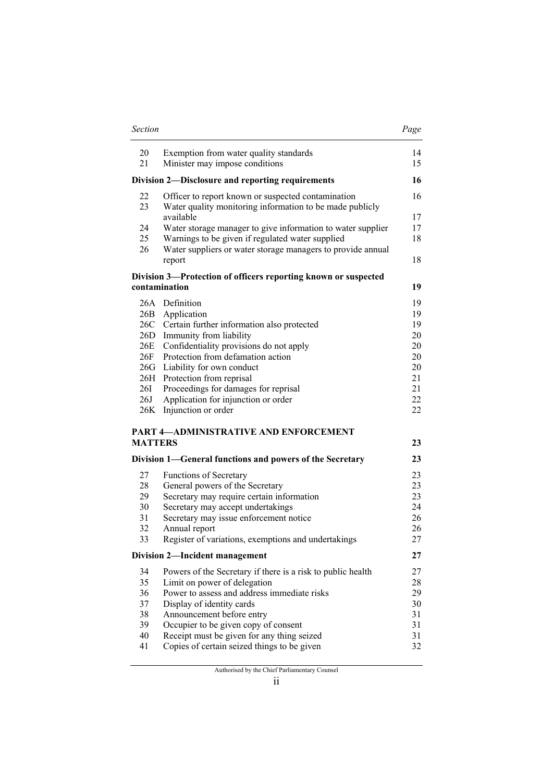| Section        |                                                                                                                 | Page     |
|----------------|-----------------------------------------------------------------------------------------------------------------|----------|
| 20<br>21       | Exemption from water quality standards<br>Minister may impose conditions                                        | 14<br>15 |
|                | Division 2-Disclosure and reporting requirements                                                                | 16       |
| 22<br>23       | Officer to report known or suspected contamination<br>Water quality monitoring information to be made publicly  | 16       |
|                | available                                                                                                       | 17       |
| 24<br>25       | Water storage manager to give information to water supplier<br>Warnings to be given if regulated water supplied | 17<br>18 |
| 26             | Water suppliers or water storage managers to provide annual<br>report                                           | 18       |
|                | Division 3—Protection of officers reporting known or suspected                                                  |          |
|                | contamination                                                                                                   | 19       |
|                | 26A Definition                                                                                                  | 19       |
|                | 26B Application                                                                                                 | 19       |
| 26C            | Certain further information also protected                                                                      | 19       |
| 26D            | Immunity from liability                                                                                         | 20       |
| 26E            | Confidentiality provisions do not apply                                                                         | 20       |
| 26F<br>26G     | Protection from defamation action                                                                               | 20       |
|                | Liability for own conduct                                                                                       | 20<br>21 |
| 26H<br>26I     | Protection from reprisal<br>Proceedings for damages for reprisal                                                | 21       |
| 26J            | Application for injunction or order                                                                             | 22       |
| 26K            | Injunction or order                                                                                             | 22       |
|                | PART 4-ADMINISTRATIVE AND ENFORCEMENT                                                                           |          |
| <b>MATTERS</b> |                                                                                                                 | 23       |
|                | Division 1—General functions and powers of the Secretary                                                        | 23       |
| 27             | <b>Functions of Secretary</b>                                                                                   | 23       |
| 28             | General powers of the Secretary                                                                                 | 23       |
| 29             | Secretary may require certain information                                                                       | 23       |
| 30             | Secretary may accept undertakings                                                                               | 24       |
| 31             | Secretary may issue enforcement notice                                                                          | 26       |
| 32             | Annual report                                                                                                   | 26       |
| 33             | Register of variations, exemptions and undertakings                                                             | 27       |
|                | Division 2-Incident management                                                                                  | 27       |
| 34             | Powers of the Secretary if there is a risk to public health                                                     | 27       |
| 35             | Limit on power of delegation                                                                                    | 28       |
| 36             | Power to assess and address immediate risks                                                                     | 29       |
| 37             | Display of identity cards                                                                                       | 30       |
| 38             | Announcement before entry                                                                                       | 31       |

Authorised by the Chief Parliamentary Counsel

 Announcement before entry 31 39 Occupier to be given copy of consent 31 Receipt must be given for any thing seized 31 Copies of certain seized things to be given 32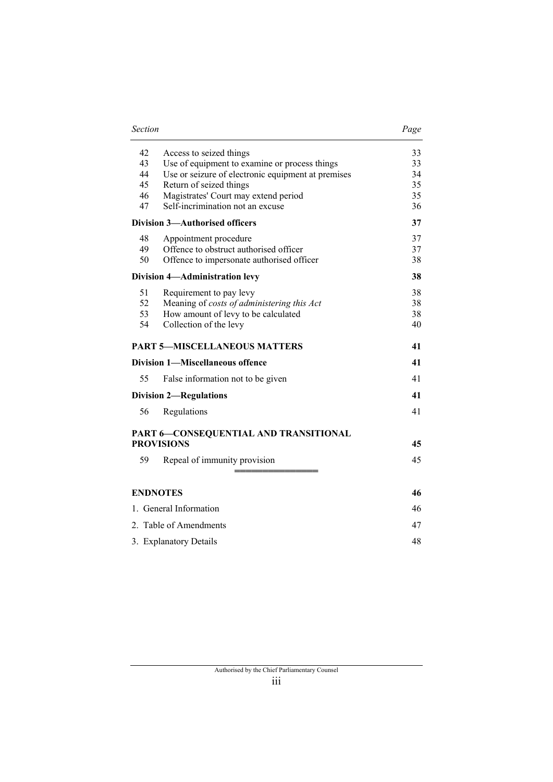| 33 |
|----|
| 33 |
| 34 |
| 35 |
| 35 |
| 36 |
| 37 |
| 37 |
| 37 |
| 38 |
| 38 |
| 38 |
| 38 |
| 38 |
| 40 |
| 41 |
| 41 |
| 41 |
| 41 |
| 41 |
|    |
| 45 |
| 45 |
|    |
| 46 |
| 46 |
| 47 |
| 48 |
|    |

*Section Page*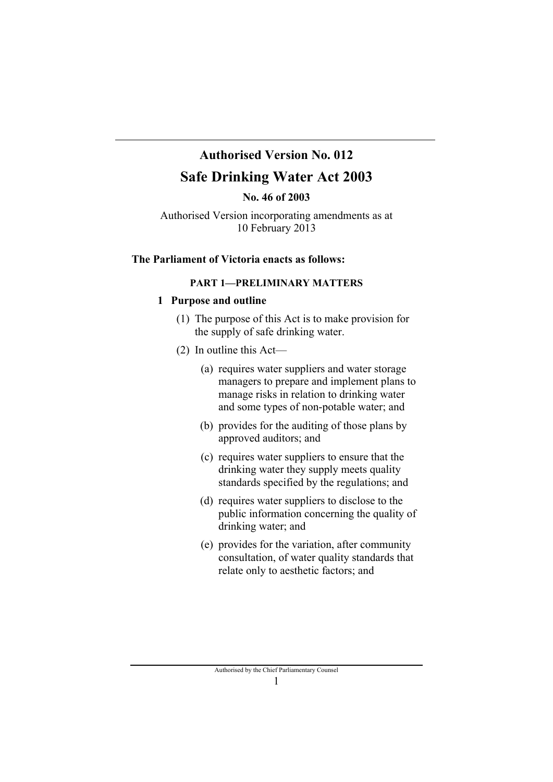# **Authorised Version No. 012**

# **Safe Drinking Water Act 2003**

**No. 46 of 2003** 

Authorised Version incorporating amendments as at 10 February 2013

### **The Parliament of Victoria enacts as follows:**

### **PART 1—PRELIMINARY MATTERS**

#### **1 Purpose and outline**

- (1) The purpose of this Act is to make provision for the supply of safe drinking water.
- (2) In outline this Act—
	- (a) requires water suppliers and water storage managers to prepare and implement plans to manage risks in relation to drinking water and some types of non-potable water; and
	- (b) provides for the auditing of those plans by approved auditors; and
	- (c) requires water suppliers to ensure that the drinking water they supply meets quality standards specified by the regulations; and
	- (d) requires water suppliers to disclose to the public information concerning the quality of drinking water; and
	- (e) provides for the variation, after community consultation, of water quality standards that relate only to aesthetic factors; and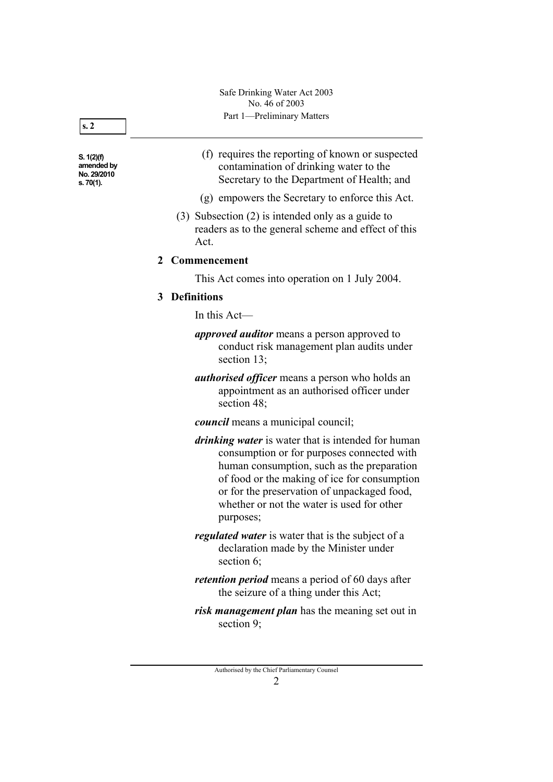**S. 1(2)(f) amended by No. 29/2010 s. 70(1).** 

- (f) requires the reporting of known or suspected contamination of drinking water to the Secretary to the Department of Health; and
- (g) empowers the Secretary to enforce this Act.
- (3) Subsection (2) is intended only as a guide to readers as to the general scheme and effect of this Act.

#### **2 Commencement**

This Act comes into operation on 1 July 2004.

#### **3 Definitions**

In this Act—

- *approved auditor* means a person approved to conduct risk management plan audits under section 13;
- *authorised officer* means a person who holds an appointment as an authorised officer under section 48;

*council* means a municipal council;

- *drinking water* is water that is intended for human consumption or for purposes connected with human consumption, such as the preparation of food or the making of ice for consumption or for the preservation of unpackaged food, whether or not the water is used for other purposes;
- *regulated water* is water that is the subject of a declaration made by the Minister under section 6;
- *retention period* means a period of 60 days after the seizure of a thing under this Act;
- *risk management plan* has the meaning set out in section 9;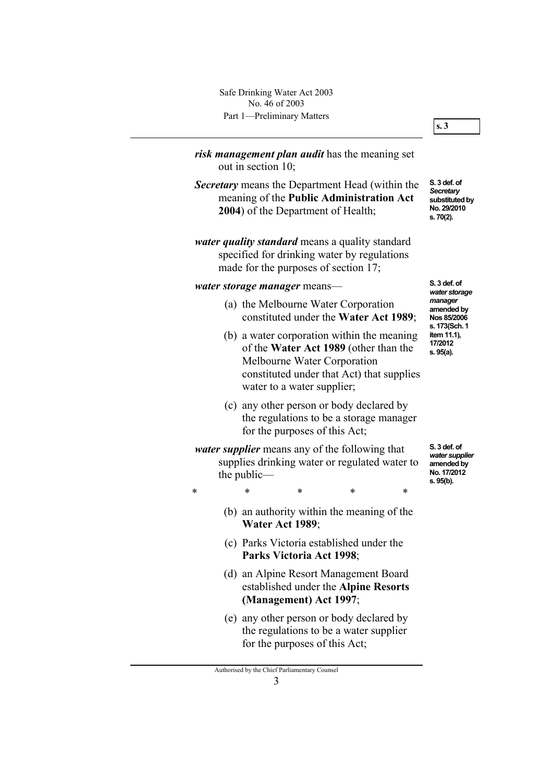Part 1—Preliminary Matters Safe Drinking Water Act 2003 No. 46 of 2003

*risk management plan audit* has the meaning set out in section 10; *Secretary* means the Department Head (within the meaning of the **Public Administration Act 2004**) of the Department of Health; *water quality standard* means a quality standard specified for drinking water by regulations made for the purposes of section 17; *water storage manager* means— (a) the Melbourne Water Corporation constituted under the **Water Act 1989**; (b) a water corporation within the meaning of the **Water Act 1989** (other than the Melbourne Water Corporation constituted under that Act) that supplies water to a water supplier; (c) any other person or body declared by the regulations to be a storage manager for the purposes of this Act; *water supplier* means any of the following that supplies drinking water or regulated water to the public— \* \* \* \* \* (b) an authority within the meaning of the **Water Act 1989**; (c) Parks Victoria established under the **Parks Victoria Act 1998**; (d) an Alpine Resort Management Board established under the **Alpine Resorts (Management) Act 1997**; **S. 3 def. of**  *Secretary*

> (e) any other person or body declared by the regulations to be a water supplier for the purposes of this Act;

**substituted by No. 29/2010 s. 70(2).** 

**S. 3 def. of**  *water storage manager* **amended by Nos 85/2006 s. 173(Sch. 1 item 11.1), 17/2012 s. 95(a).** 

**S. 3 def. of**  *water supplier* **amended by No. 17/2012 s. 95(b).** 

#### **s. 3**

Authorised by the Chief Parliamentary Counsel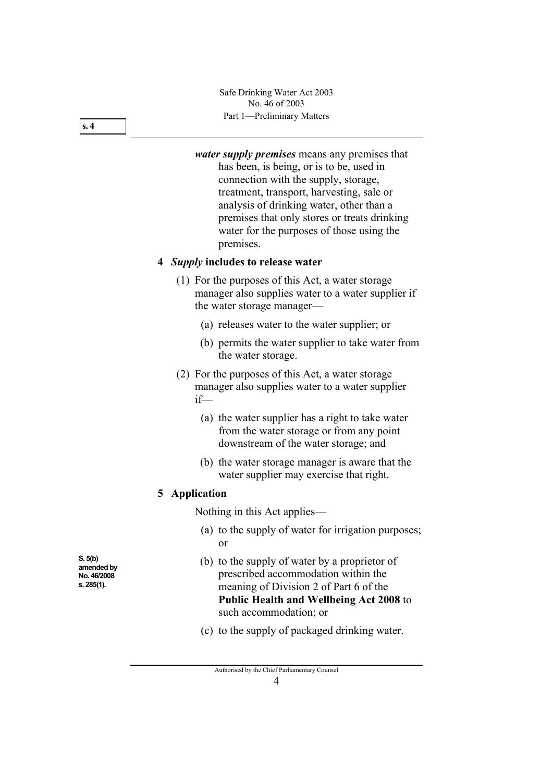Part 1—Preliminary Matters Safe Drinking Water Act 2003 No. 46 of 2003

*water supply premises* means any premises that has been, is being, or is to be, used in connection with the supply, storage, treatment, transport, harvesting, sale or analysis of drinking water, other than a premises that only stores or treats drinking water for the purposes of those using the premises.

#### **4** *Supply* **includes to release water**

- (1) For the purposes of this Act, a water storage manager also supplies water to a water supplier if the water storage manager—
	- (a) releases water to the water supplier; or
	- (b) permits the water supplier to take water from the water storage.
- (2) For the purposes of this Act, a water storage manager also supplies water to a water supplier if—
	- (a) the water supplier has a right to take water from the water storage or from any point downstream of the water storage; and
	- (b) the water storage manager is aware that the water supplier may exercise that right.

### **5 Application**

Nothing in this Act applies—

- (a) to the supply of water for irrigation purposes; or
- (b) to the supply of water by a proprietor of prescribed accommodation within the meaning of Division 2 of Part 6 of the **Public Health and Wellbeing Act 2008** to such accommodation; or
- (c) to the supply of packaged drinking water.

**S. 5(b) amended by No. 46/2008 s. 285(1).** 

**s. 4**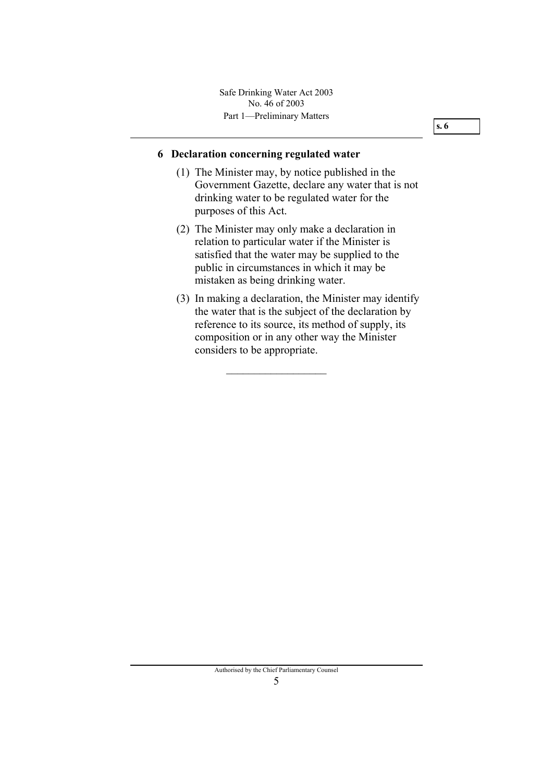Part 1—Preliminary Matters Safe Drinking Water Act 2003 No. 46 of 2003

#### **6 Declaration concerning regulated water**

- (1) The Minister may, by notice published in the Government Gazette, declare any water that is not drinking water to be regulated water for the purposes of this Act.
- (2) The Minister may only make a declaration in relation to particular water if the Minister is satisfied that the water may be supplied to the public in circumstances in which it may be mistaken as being drinking water.
- (3) In making a declaration, the Minister may identify the water that is the subject of the declaration by reference to its source, its method of supply, its composition or in any other way the Minister considers to be appropriate.

 $\overline{\phantom{a}}$  , where  $\overline{\phantom{a}}$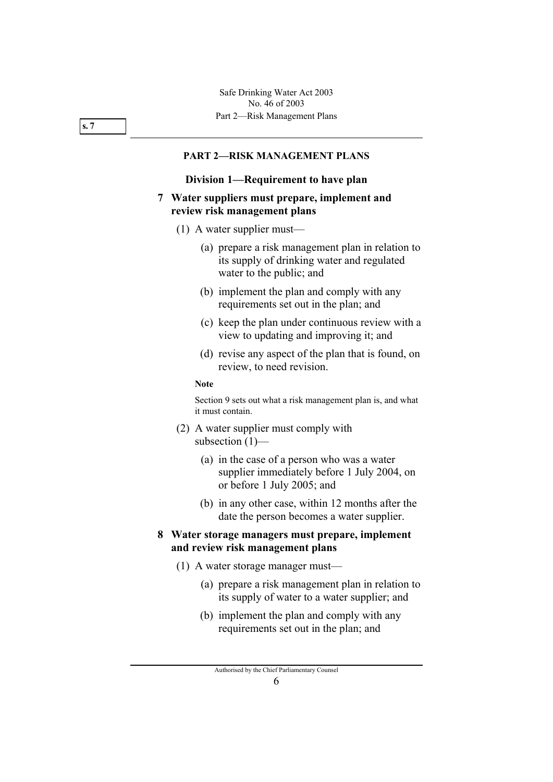#### **PART 2—RISK MANAGEMENT PLANS**

#### **Division 1—Requirement to have plan**

#### **7 Water suppliers must prepare, implement and review risk management plans**

- (1) A water supplier must—
	- (a) prepare a risk management plan in relation to its supply of drinking water and regulated water to the public; and
	- (b) implement the plan and comply with any requirements set out in the plan; and
	- (c) keep the plan under continuous review with a view to updating and improving it; and
	- (d) revise any aspect of the plan that is found, on review, to need revision.

#### **Note**

Section 9 sets out what a risk management plan is, and what it must contain.

- (2) A water supplier must comply with subsection (1)—
	- (a) in the case of a person who was a water supplier immediately before 1 July 2004, on or before 1 July 2005; and
	- (b) in any other case, within 12 months after the date the person becomes a water supplier.

### **8 Water storage managers must prepare, implement and review risk management plans**

- (1) A water storage manager must—
	- (a) prepare a risk management plan in relation to its supply of water to a water supplier; and
	- (b) implement the plan and comply with any requirements set out in the plan; and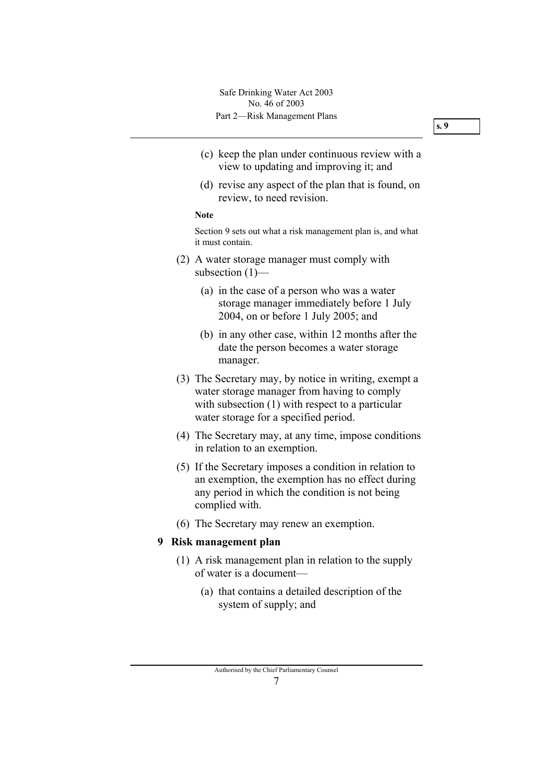- (c) keep the plan under continuous review with a view to updating and improving it; and
- (d) revise any aspect of the plan that is found, on review, to need revision.

#### **Note**

Section 9 sets out what a risk management plan is, and what it must contain.

- (2) A water storage manager must comply with subsection (1)—
	- (a) in the case of a person who was a water storage manager immediately before 1 July 2004, on or before 1 July 2005; and
	- (b) in any other case, within 12 months after the date the person becomes a water storage manager.
- (3) The Secretary may, by notice in writing, exempt a water storage manager from having to comply with subsection (1) with respect to a particular water storage for a specified period.
- (4) The Secretary may, at any time, impose conditions in relation to an exemption.
- (5) If the Secretary imposes a condition in relation to an exemption, the exemption has no effect during any period in which the condition is not being complied with.
- (6) The Secretary may renew an exemption.

#### **9 Risk management plan**

- (1) A risk management plan in relation to the supply of water is a document—
	- (a) that contains a detailed description of the system of supply; and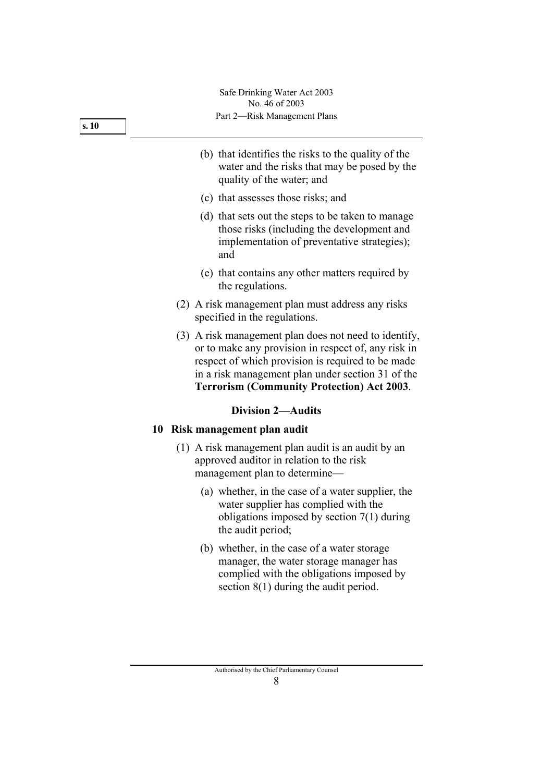Part 2—Risk Management Plans Safe Drinking Water Act 2003 No. 46 of 2003

- (b) that identifies the risks to the quality of the water and the risks that may be posed by the quality of the water; and
- (c) that assesses those risks; and
- (d) that sets out the steps to be taken to manage those risks (including the development and implementation of preventative strategies); and
- (e) that contains any other matters required by the regulations.
- (2) A risk management plan must address any risks specified in the regulations.
- (3) A risk management plan does not need to identify, or to make any provision in respect of, any risk in respect of which provision is required to be made in a risk management plan under section 31 of the **Terrorism (Community Protection) Act 2003**.

### **Division 2—Audits**

### **10 Risk management plan audit**

- (1) A risk management plan audit is an audit by an approved auditor in relation to the risk management plan to determine—
	- (a) whether, in the case of a water supplier, the water supplier has complied with the obligations imposed by section 7(1) during the audit period;
	- (b) whether, in the case of a water storage manager, the water storage manager has complied with the obligations imposed by section 8(1) during the audit period.

**s. 10**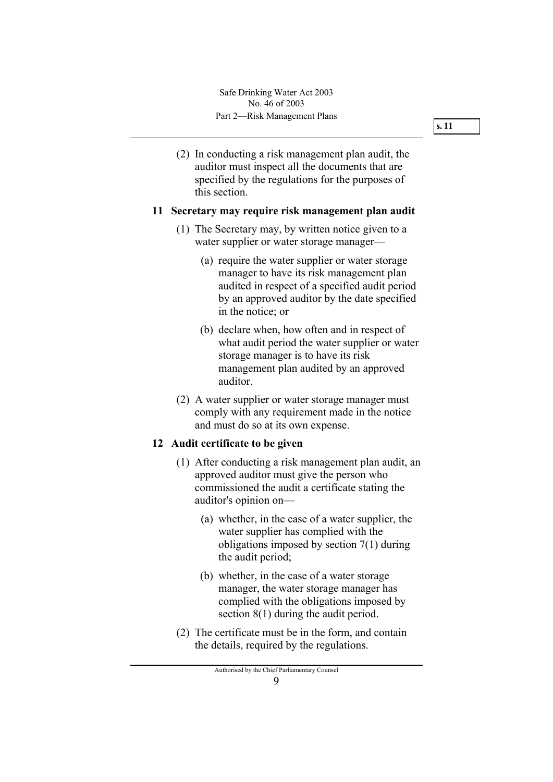(2) In conducting a risk management plan audit, the auditor must inspect all the documents that are specified by the regulations for the purposes of this section.

#### **11 Secretary may require risk management plan audit**

- (1) The Secretary may, by written notice given to a water supplier or water storage manager—
	- (a) require the water supplier or water storage manager to have its risk management plan audited in respect of a specified audit period by an approved auditor by the date specified in the notice; or
	- (b) declare when, how often and in respect of what audit period the water supplier or water storage manager is to have its risk management plan audited by an approved auditor.
- (2) A water supplier or water storage manager must comply with any requirement made in the notice and must do so at its own expense.

### **12 Audit certificate to be given**

- (1) After conducting a risk management plan audit, an approved auditor must give the person who commissioned the audit a certificate stating the auditor's opinion on—
	- (a) whether, in the case of a water supplier, the water supplier has complied with the obligations imposed by section 7(1) during the audit period;
	- (b) whether, in the case of a water storage manager, the water storage manager has complied with the obligations imposed by section 8(1) during the audit period.
- (2) The certificate must be in the form, and contain the details, required by the regulations.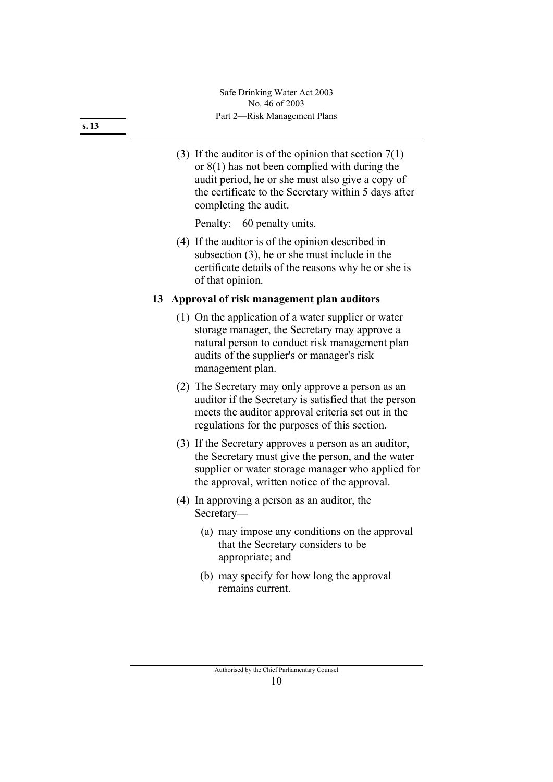- **s. 13**
- (3) If the auditor is of the opinion that section  $7(1)$ or 8(1) has not been complied with during the audit period, he or she must also give a copy of the certificate to the Secretary within 5 days after completing the audit.

Penalty: 60 penalty units.

 (4) If the auditor is of the opinion described in subsection (3), he or she must include in the certificate details of the reasons why he or she is of that opinion.

### **13 Approval of risk management plan auditors**

- (1) On the application of a water supplier or water storage manager, the Secretary may approve a natural person to conduct risk management plan audits of the supplier's or manager's risk management plan.
- (2) The Secretary may only approve a person as an auditor if the Secretary is satisfied that the person meets the auditor approval criteria set out in the regulations for the purposes of this section.
- (3) If the Secretary approves a person as an auditor, the Secretary must give the person, and the water supplier or water storage manager who applied for the approval, written notice of the approval.
- (4) In approving a person as an auditor, the Secretary—
	- (a) may impose any conditions on the approval that the Secretary considers to be appropriate; and
	- (b) may specify for how long the approval remains current.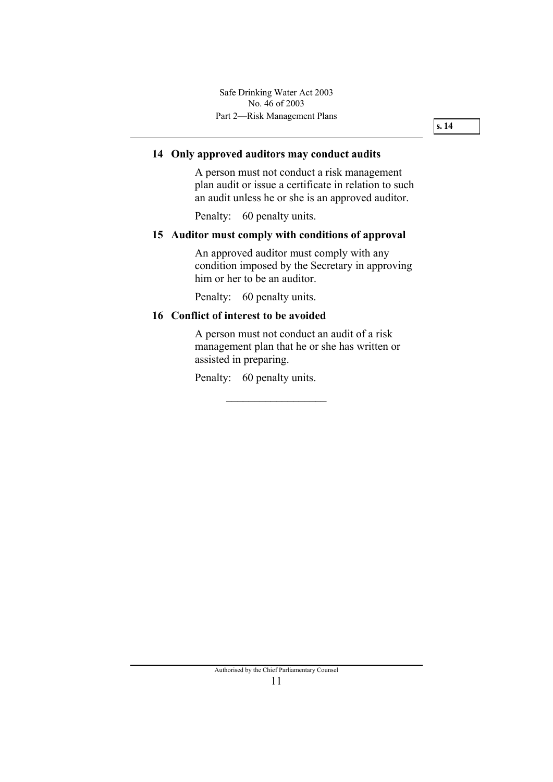#### **14 Only approved auditors may conduct audits**

A person must not conduct a risk management plan audit or issue a certificate in relation to such an audit unless he or she is an approved auditor.

Penalty: 60 penalty units.

#### **15 Auditor must comply with conditions of approval**

An approved auditor must comply with any condition imposed by the Secretary in approving him or her to be an auditor.

Penalty: 60 penalty units.

### **16 Conflict of interest to be avoided**

A person must not conduct an audit of a risk management plan that he or she has written or assisted in preparing.

Penalty: 60 penalty units.

 $\overline{\phantom{a}}$  , where  $\overline{\phantom{a}}$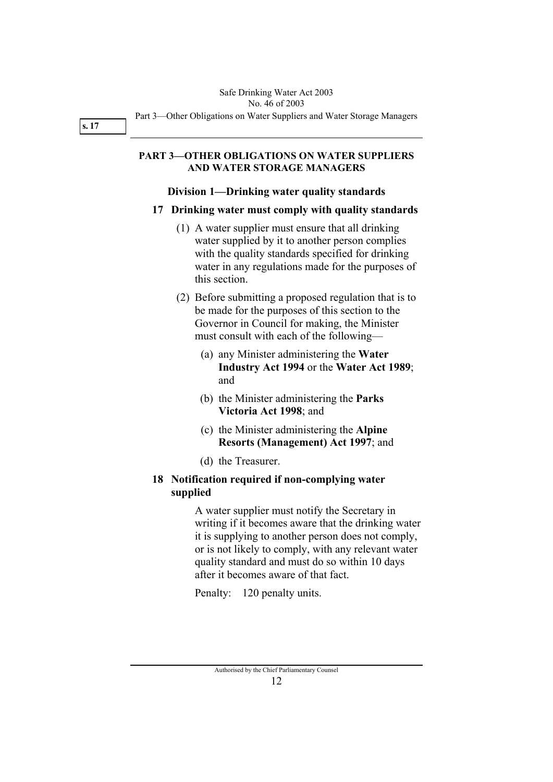#### **PART 3—OTHER OBLIGATIONS ON WATER SUPPLIERS AND WATER STORAGE MANAGERS**

#### **Division 1—Drinking water quality standards**

#### **17 Drinking water must comply with quality standards**

- (1) A water supplier must ensure that all drinking water supplied by it to another person complies with the quality standards specified for drinking water in any regulations made for the purposes of this section.
- (2) Before submitting a proposed regulation that is to be made for the purposes of this section to the Governor in Council for making, the Minister must consult with each of the following—
	- (a) any Minister administering the **Water Industry Act 1994** or the **Water Act 1989**; and
	- (b) the Minister administering the **Parks Victoria Act 1998**; and
	- (c) the Minister administering the **Alpine Resorts (Management) Act 1997**; and
	- (d) the Treasurer.

### **18 Notification required if non-complying water supplied**

A water supplier must notify the Secretary in writing if it becomes aware that the drinking water it is supplying to another person does not comply, or is not likely to comply, with any relevant water quality standard and must do so within 10 days after it becomes aware of that fact.

Penalty: 120 penalty units.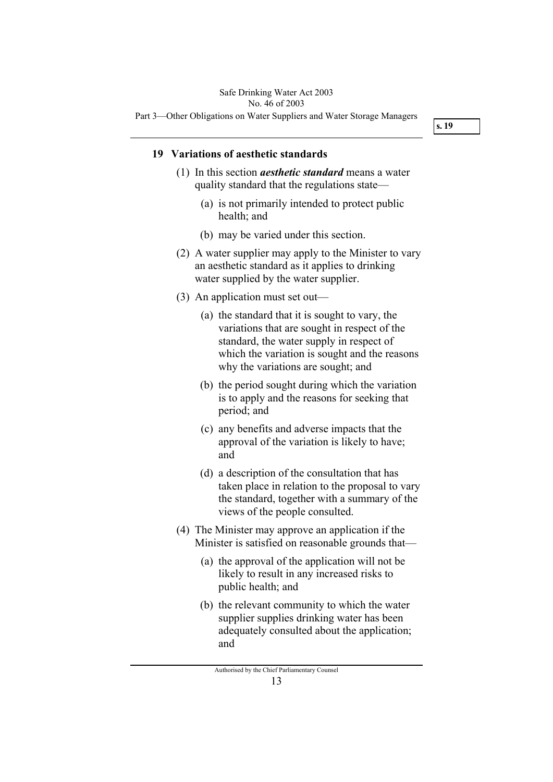### Safe Drinking Water Act 2003 No. 46 of 2003

Part 3—Other Obligations on Water Suppliers and Water Storage Managers

**s. 19** 

#### **19 Variations of aesthetic standards**

- (1) In this section *aesthetic standard* means a water quality standard that the regulations state—
	- (a) is not primarily intended to protect public health; and
	- (b) may be varied under this section.
- (2) A water supplier may apply to the Minister to vary an aesthetic standard as it applies to drinking water supplied by the water supplier.
- (3) An application must set out—
	- (a) the standard that it is sought to vary, the variations that are sought in respect of the standard, the water supply in respect of which the variation is sought and the reasons why the variations are sought; and
	- (b) the period sought during which the variation is to apply and the reasons for seeking that period; and
	- (c) any benefits and adverse impacts that the approval of the variation is likely to have; and
	- (d) a description of the consultation that has taken place in relation to the proposal to vary the standard, together with a summary of the views of the people consulted.
- (4) The Minister may approve an application if the Minister is satisfied on reasonable grounds that—
	- (a) the approval of the application will not be likely to result in any increased risks to public health; and
	- (b) the relevant community to which the water supplier supplies drinking water has been adequately consulted about the application; and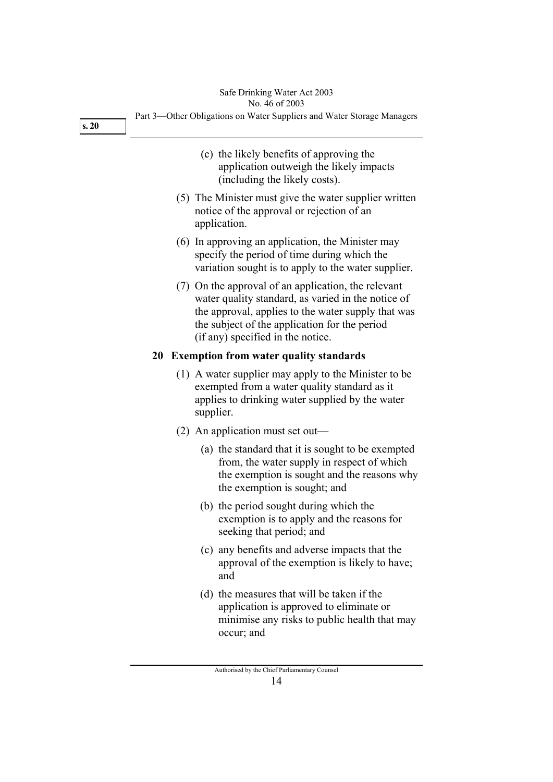|      | Safe Drinking Water Act 2003<br>No. 46 of 2003                                                                                                                                                                                                        |
|------|-------------------------------------------------------------------------------------------------------------------------------------------------------------------------------------------------------------------------------------------------------|
| s.20 | Part 3—Other Obligations on Water Suppliers and Water Storage Managers                                                                                                                                                                                |
|      | (c) the likely benefits of approving the<br>application outweigh the likely impacts<br>(including the likely costs).                                                                                                                                  |
|      | (5) The Minister must give the water supplier written<br>notice of the approval or rejection of an<br>application.                                                                                                                                    |
|      | (6) In approving an application, the Minister may<br>specify the period of time during which the<br>variation sought is to apply to the water supplier.                                                                                               |
|      | (7) On the approval of an application, the relevant<br>water quality standard, as varied in the notice of<br>the approval, applies to the water supply that was<br>the subject of the application for the period<br>(if any) specified in the notice. |
|      | 20 Exemption from water quality standards                                                                                                                                                                                                             |
|      | (1) A water supplier may apply to the Minister to be<br>exempted from a water quality standard as it<br>applies to drinking water supplied by the water<br>supplier.                                                                                  |
|      | $(2)$ An application must set out—                                                                                                                                                                                                                    |
|      | (a) the standard that it is sought to be exempted<br>from, the water supply in respect of which<br>the exemption is sought and the reasons why<br>the exemption is sought; and                                                                        |
|      | (b) the period sought during which the<br>exemption is to apply and the reasons for<br>seeking that period; and                                                                                                                                       |
|      | (c) any benefits and adverse impacts that the<br>approval of the exemption is likely to have;<br>and                                                                                                                                                  |
|      | (d) the measures that will be taken if the<br>application is approved to eliminate or<br>minimise any risks to public health that may<br>occur; and                                                                                                   |
|      |                                                                                                                                                                                                                                                       |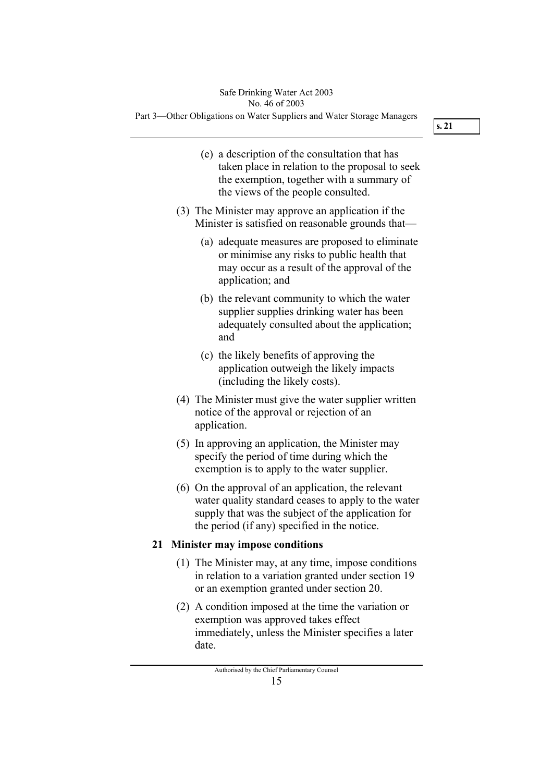Part 3—Other Obligations on Water Suppliers and Water Storage Managers

**s. 21** 

- (e) a description of the consultation that has taken place in relation to the proposal to seek the exemption, together with a summary of the views of the people consulted.
- (3) The Minister may approve an application if the Minister is satisfied on reasonable grounds that—
	- (a) adequate measures are proposed to eliminate or minimise any risks to public health that may occur as a result of the approval of the application; and
	- (b) the relevant community to which the water supplier supplies drinking water has been adequately consulted about the application; and
	- (c) the likely benefits of approving the application outweigh the likely impacts (including the likely costs).
- (4) The Minister must give the water supplier written notice of the approval or rejection of an application.
- (5) In approving an application, the Minister may specify the period of time during which the exemption is to apply to the water supplier.
- (6) On the approval of an application, the relevant water quality standard ceases to apply to the water supply that was the subject of the application for the period (if any) specified in the notice.

#### **21 Minister may impose conditions**

- (1) The Minister may, at any time, impose conditions in relation to a variation granted under section 19 or an exemption granted under section 20.
- (2) A condition imposed at the time the variation or exemption was approved takes effect immediately, unless the Minister specifies a later date.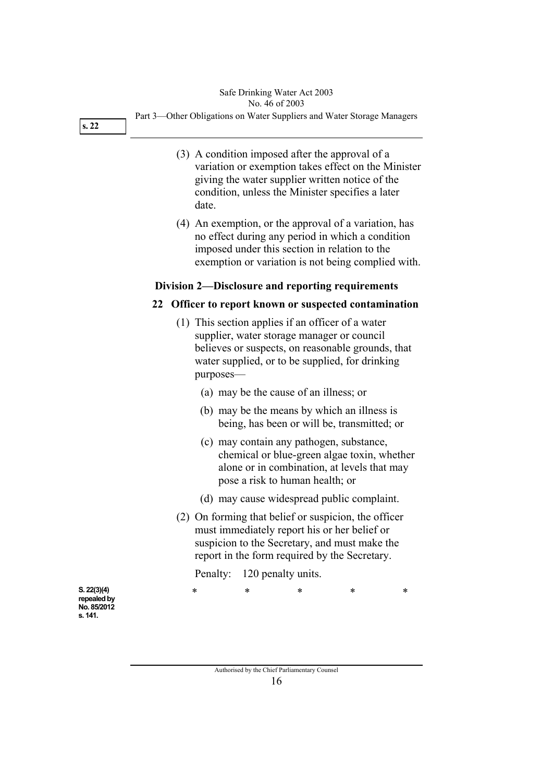#### Safe Drinking Water Act 2003 No. 46 of 2003

**s. 22** 

Part 3—Other Obligations on Water Suppliers and Water Storage Managers

- (3) A condition imposed after the approval of a variation or exemption takes effect on the Minister giving the water supplier written notice of the condition, unless the Minister specifies a later date.
- (4) An exemption, or the approval of a variation, has no effect during any period in which a condition imposed under this section in relation to the exemption or variation is not being complied with.

### **Division 2—Disclosure and reporting requirements**

### **22 Officer to report known or suspected contamination**

- (1) This section applies if an officer of a water supplier, water storage manager or council believes or suspects, on reasonable grounds, that water supplied, or to be supplied, for drinking purposes—
	- (a) may be the cause of an illness; or
	- (b) may be the means by which an illness is being, has been or will be, transmitted; or
	- (c) may contain any pathogen, substance, chemical or blue-green algae toxin, whether alone or in combination, at levels that may pose a risk to human health; or
	- (d) may cause widespread public complaint.
- (2) On forming that belief or suspicion, the officer must immediately report his or her belief or suspicion to the Secretary, and must make the report in the form required by the Secretary.

Penalty: 120 penalty units.

\* \* \* \* \*

**S. 22(3)(4) repealed by No. 85/2012 s. 141.**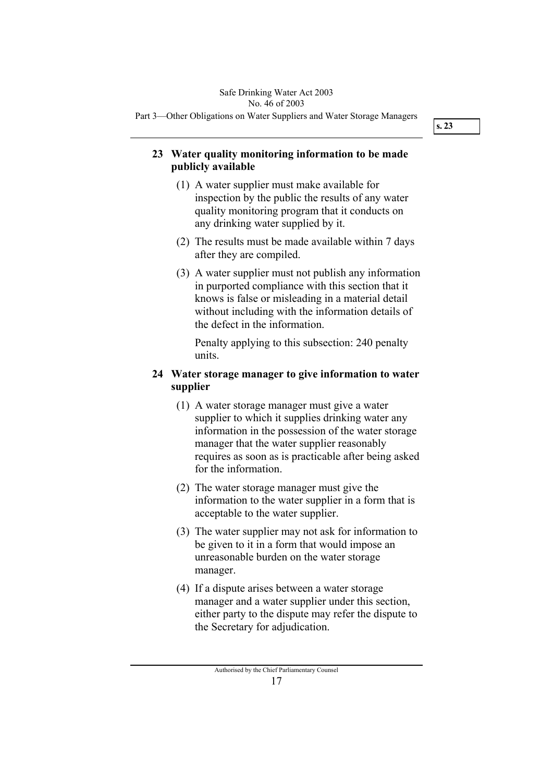### **23 Water quality monitoring information to be made publicly available**

- (1) A water supplier must make available for inspection by the public the results of any water quality monitoring program that it conducts on any drinking water supplied by it.
- (2) The results must be made available within 7 days after they are compiled.
- (3) A water supplier must not publish any information in purported compliance with this section that it knows is false or misleading in a material detail without including with the information details of the defect in the information.

Penalty applying to this subsection: 240 penalty units.

### **24 Water storage manager to give information to water supplier**

- (1) A water storage manager must give a water supplier to which it supplies drinking water any information in the possession of the water storage manager that the water supplier reasonably requires as soon as is practicable after being asked for the information.
- (2) The water storage manager must give the information to the water supplier in a form that is acceptable to the water supplier.
- (3) The water supplier may not ask for information to be given to it in a form that would impose an unreasonable burden on the water storage manager.
- (4) If a dispute arises between a water storage manager and a water supplier under this section, either party to the dispute may refer the dispute to the Secretary for adjudication.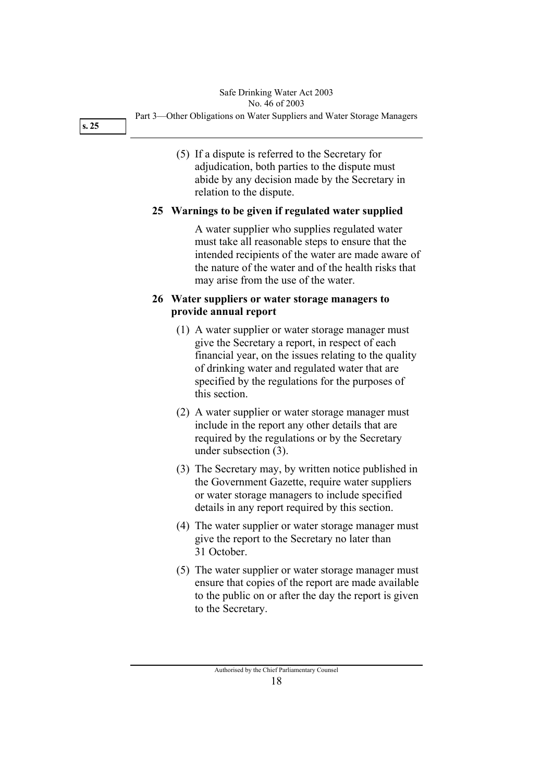#### Part 3—Other Obligations on Water Suppliers and Water Storage Managers Safe Drinking Water Act 2003 No. 46 of 2003

**s. 25** 

 (5) If a dispute is referred to the Secretary for adjudication, both parties to the dispute must abide by any decision made by the Secretary in relation to the dispute.

### **25 Warnings to be given if regulated water supplied**

A water supplier who supplies regulated water must take all reasonable steps to ensure that the intended recipients of the water are made aware of the nature of the water and of the health risks that may arise from the use of the water.

### **26 Water suppliers or water storage managers to provide annual report**

- (1) A water supplier or water storage manager must give the Secretary a report, in respect of each financial year, on the issues relating to the quality of drinking water and regulated water that are specified by the regulations for the purposes of this section.
- (2) A water supplier or water storage manager must include in the report any other details that are required by the regulations or by the Secretary under subsection (3).
- (3) The Secretary may, by written notice published in the Government Gazette, require water suppliers or water storage managers to include specified details in any report required by this section.
- (4) The water supplier or water storage manager must give the report to the Secretary no later than 31 October.
- (5) The water supplier or water storage manager must ensure that copies of the report are made available to the public on or after the day the report is given to the Secretary.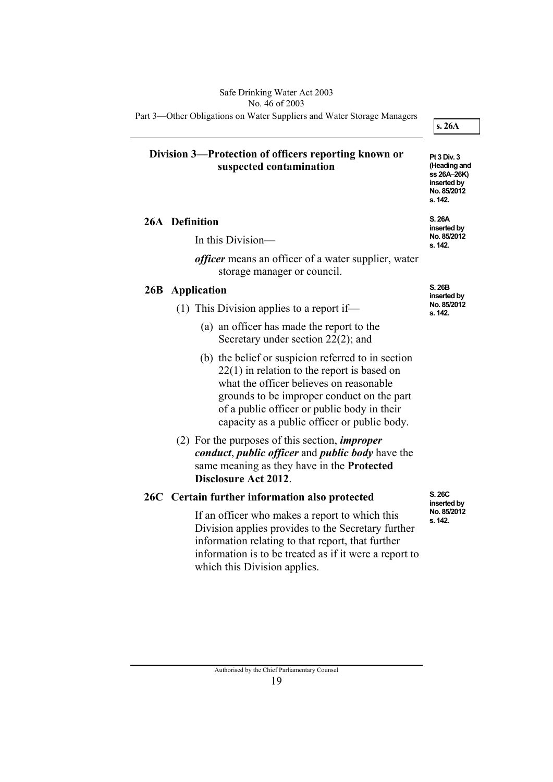Part 3—Other Obligations on Water Suppliers and Water Storage Managers

**s. 26A** 

**Pt 3 Div. 3 (Heading and ss 26A–26K) inserted by No. 85/2012 s. 142.** 

**S. 26A inserted by No. 85/2012 s. 142.** 

### **Division 3—Protection of officers reporting known or suspected contamination**

 **26A Definition** 

In this Division—

*officer* means an officer of a water supplier, water storage manager or council.

### **26B Application**

- (1) This Division applies to a report if—
	- (a) an officer has made the report to the Secretary under section 22(2); and
	- (b) the belief or suspicion referred to in section 22(1) in relation to the report is based on what the officer believes on reasonable grounds to be improper conduct on the part of a public officer or public body in their capacity as a public officer or public body.
- (2) For the purposes of this section, *improper conduct*, *public officer* and *public body* have the same meaning as they have in the **Protected Disclosure Act 2012**.

## **26C Certain further information also protected**

If an officer who makes a report to which this Division applies provides to the Secretary further information relating to that report, that further information is to be treated as if it were a report to which this Division applies.

**S. 26B inserted by No. 85/2012 s. 142.** 

**S. 26C inserted by No. 85/2012 s. 142.** 

Authorised by the Chief Parliamentary Counsel 19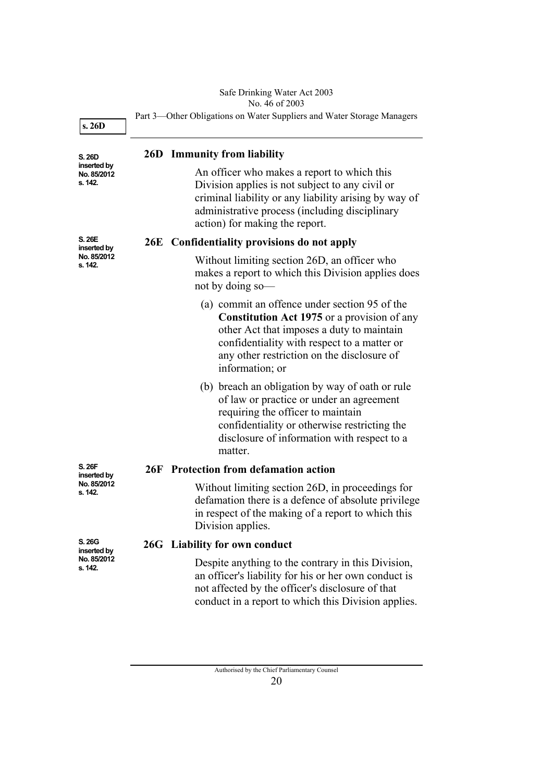#### Safe Drinking Water Act 2003 No. 46 of 2003

| s. 26D                                | Part 3—Other Obligations on Water Suppliers and Water Storage Managers |                                                                                                                                                                                                                                                                  |
|---------------------------------------|------------------------------------------------------------------------|------------------------------------------------------------------------------------------------------------------------------------------------------------------------------------------------------------------------------------------------------------------|
| S. 26D                                |                                                                        | <b>26D</b> Immunity from liability                                                                                                                                                                                                                               |
| inserted by<br>No. 85/2012<br>s. 142. |                                                                        | An officer who makes a report to which this<br>Division applies is not subject to any civil or<br>criminal liability or any liability arising by way of<br>administrative process (including disciplinary<br>action) for making the report.                      |
| S. 26E<br>inserted by                 |                                                                        | 26E Confidentiality provisions do not apply                                                                                                                                                                                                                      |
| No. 85/2012<br>s. 142.                |                                                                        | Without limiting section 26D, an officer who<br>makes a report to which this Division applies does<br>not by doing so-                                                                                                                                           |
|                                       |                                                                        | (a) commit an offence under section 95 of the<br><b>Constitution Act 1975</b> or a provision of any<br>other Act that imposes a duty to maintain<br>confidentiality with respect to a matter or<br>any other restriction on the disclosure of<br>information; or |
|                                       |                                                                        | (b) breach an obligation by way of oath or rule<br>of law or practice or under an agreement<br>requiring the officer to maintain<br>confidentiality or otherwise restricting the<br>disclosure of information with respect to a<br>matter.                       |
| S. 26F<br>inserted by                 |                                                                        | 26F Protection from defamation action                                                                                                                                                                                                                            |
| No. 85/2012<br>s. 142.                |                                                                        | Without limiting section 26D, in proceedings for<br>defamation there is a defence of absolute privilege<br>in respect of the making of a report to which this<br>Division applies.                                                                               |
| S. 26G<br>inserted by                 |                                                                        | 26G Liability for own conduct                                                                                                                                                                                                                                    |
| No. 85/2012<br>s. 142.                |                                                                        | Despite anything to the contrary in this Division,<br>an officer's liability for his or her own conduct is<br>not affected by the officer's disclosure of that<br>conduct in a report to which this Division applies.                                            |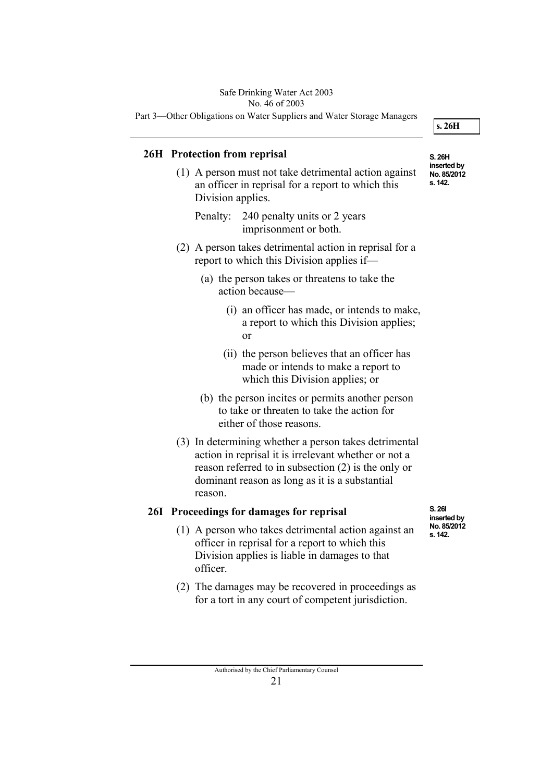### Safe Drinking Water Act 2003

No. 46 of 2003

Part 3—Other Obligations on Water Suppliers and Water Storage Managers

**s. 26H** 

### **26H Protection from reprisal**

 (1) A person must not take detrimental action against an officer in reprisal for a report to which this Division applies.

Penalty: 240 penalty units or 2 years imprisonment or both.

- (2) A person takes detrimental action in reprisal for a report to which this Division applies if—
	- (a) the person takes or threatens to take the action because—
		- (i) an officer has made, or intends to make, a report to which this Division applies; or
		- (ii) the person believes that an officer has made or intends to make a report to which this Division applies; or
	- (b) the person incites or permits another person to take or threaten to take the action for either of those reasons.
- (3) In determining whether a person takes detrimental action in reprisal it is irrelevant whether or not a reason referred to in subsection (2) is the only or dominant reason as long as it is a substantial reason.

### **26I Proceedings for damages for reprisal**

- (1) A person who takes detrimental action against an officer in reprisal for a report to which this Division applies is liable in damages to that officer.
- (2) The damages may be recovered in proceedings as for a tort in any court of competent jurisdiction.

**S. 26H inserted by No. 85/2012 s. 142.** 

**S. 26I inserted by No. 85/2012 s. 142.**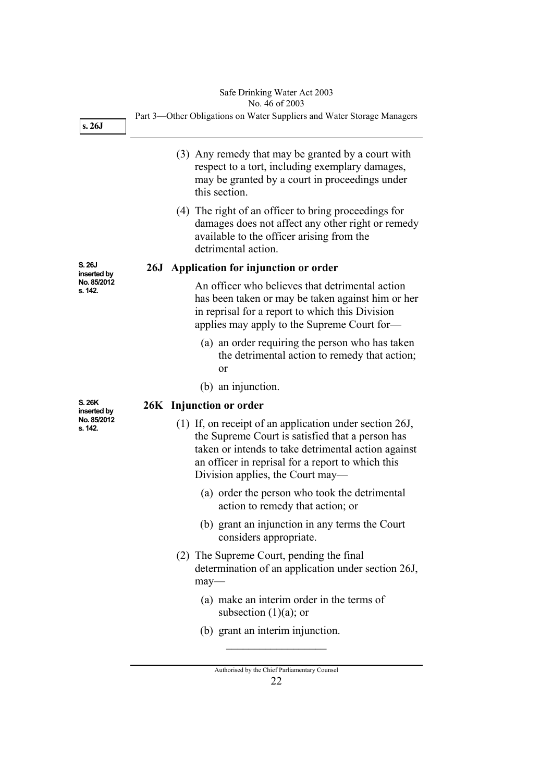#### Safe Drinking Water Act 2003 No. 46 of 2003

Part 3—Other Obligations on Water Suppliers and Water Storage Managers (3) Any remedy that may be granted by a court with respect to a tort, including exemplary damages, may be granted by a court in proceedings under this section. (4) The right of an officer to bring proceedings for damages does not affect any other right or remedy available to the officer arising from the detrimental action.  **26J Application for injunction or order**  An officer who believes that detrimental action has been taken or may be taken against him or her in reprisal for a report to which this Division applies may apply to the Supreme Court for— (a) an order requiring the person who has taken the detrimental action to remedy that action; or (b) an injunction.  **26K Injunction or order**  (1) If, on receipt of an application under section 26J, the Supreme Court is satisfied that a person has taken or intends to take detrimental action against an officer in reprisal for a report to which this Division applies, the Court may— **S. 26J inserted by No. 85/2012 s. 142. s. 26J S. 26K inserted by No. 85/2012 s. 142.** 

- (a) order the person who took the detrimental action to remedy that action; or
- (b) grant an injunction in any terms the Court considers appropriate.
- (2) The Supreme Court, pending the final determination of an application under section 26J, may—
	- (a) make an interim order in the terms of subsection  $(1)(a)$ ; or
	- (b) grant an interim injunction.

 $\overline{\phantom{a}}$  , where  $\overline{\phantom{a}}$ 

Authorised by the Chief Parliamentary Counsel 22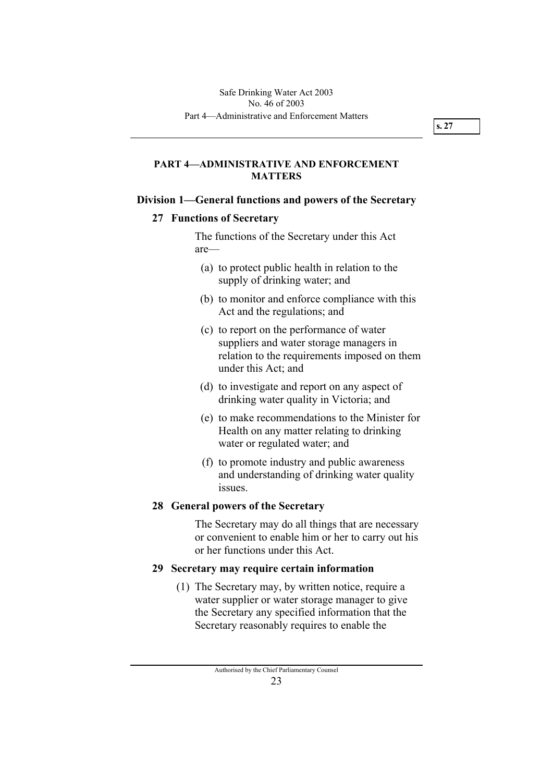### **PART 4—ADMINISTRATIVE AND ENFORCEMENT MATTERS**

### **Division 1—General functions and powers of the Secretary**

### **27 Functions of Secretary**

The functions of the Secretary under this Act are—

- (a) to protect public health in relation to the supply of drinking water; and
- (b) to monitor and enforce compliance with this Act and the regulations; and
- (c) to report on the performance of water suppliers and water storage managers in relation to the requirements imposed on them under this Act; and
- (d) to investigate and report on any aspect of drinking water quality in Victoria; and
- (e) to make recommendations to the Minister for Health on any matter relating to drinking water or regulated water; and
- (f) to promote industry and public awareness and understanding of drinking water quality issues.

### **28 General powers of the Secretary**

The Secretary may do all things that are necessary or convenient to enable him or her to carry out his or her functions under this Act.

### **29 Secretary may require certain information**

 (1) The Secretary may, by written notice, require a water supplier or water storage manager to give the Secretary any specified information that the Secretary reasonably requires to enable the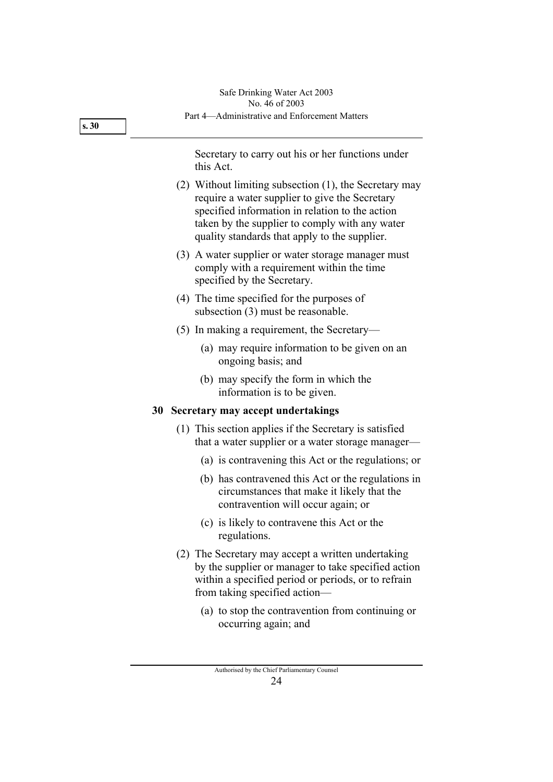| s.30 | Part 4—Administrative and Enforcement Matters                                                                                                                                                                                                                  |  |
|------|----------------------------------------------------------------------------------------------------------------------------------------------------------------------------------------------------------------------------------------------------------------|--|
|      | Secretary to carry out his or her functions under<br>this Act.                                                                                                                                                                                                 |  |
|      | (2) Without limiting subsection (1), the Secretary may<br>require a water supplier to give the Secretary<br>specified information in relation to the action<br>taken by the supplier to comply with any water<br>quality standards that apply to the supplier. |  |
|      | (3) A water supplier or water storage manager must<br>comply with a requirement within the time<br>specified by the Secretary.                                                                                                                                 |  |
|      | (4) The time specified for the purposes of<br>subsection (3) must be reasonable.                                                                                                                                                                               |  |
|      | $(5)$ In making a requirement, the Secretary—                                                                                                                                                                                                                  |  |
|      | (a) may require information to be given on an<br>ongoing basis; and                                                                                                                                                                                            |  |
|      | (b) may specify the form in which the<br>information is to be given.                                                                                                                                                                                           |  |
|      | 30<br>Secretary may accept undertakings                                                                                                                                                                                                                        |  |
|      | (1) This section applies if the Secretary is satisfied<br>that a water supplier or a water storage manager—                                                                                                                                                    |  |
|      | (a) is contravening this Act or the regulations; or                                                                                                                                                                                                            |  |
|      | (b) has contravened this Act or the regulations in<br>circumstances that make it likely that the<br>contravention will occur again; or                                                                                                                         |  |
|      | (c) is likely to contravene this Act or the<br>regulations.                                                                                                                                                                                                    |  |
|      | (2) The Secretary may accept a written undertaking<br>by the supplier or manager to take specified action<br>within a specified period or periods, or to refrain<br>from taking specified action—                                                              |  |
|      | (a) to stop the contravention from continuing or<br>occurring again; and                                                                                                                                                                                       |  |
|      | Authorised by the Chief Parliamentary Counsel<br>24                                                                                                                                                                                                            |  |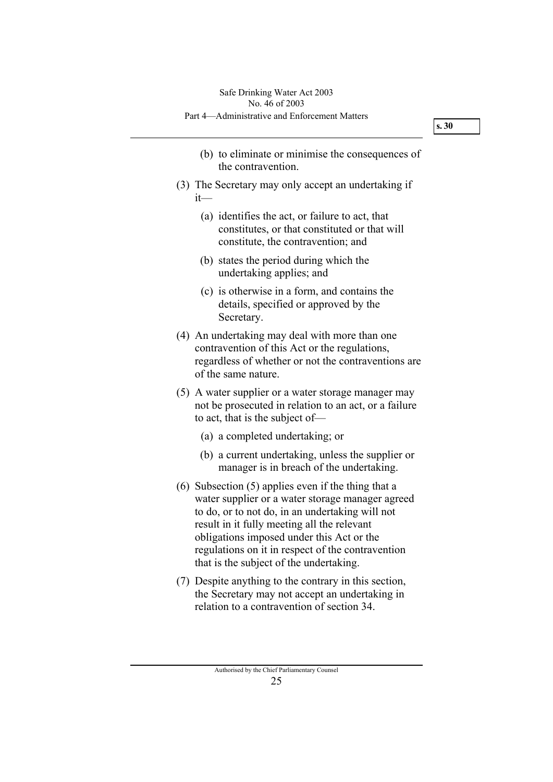- (b) to eliminate or minimise the consequences of the contravention.
- (3) The Secretary may only accept an undertaking if it—
	- (a) identifies the act, or failure to act, that constitutes, or that constituted or that will constitute, the contravention; and
	- (b) states the period during which the undertaking applies; and
	- (c) is otherwise in a form, and contains the details, specified or approved by the Secretary.
- (4) An undertaking may deal with more than one contravention of this Act or the regulations, regardless of whether or not the contraventions are of the same nature.
- (5) A water supplier or a water storage manager may not be prosecuted in relation to an act, or a failure to act, that is the subject of—
	- (a) a completed undertaking; or
	- (b) a current undertaking, unless the supplier or manager is in breach of the undertaking.
- (6) Subsection (5) applies even if the thing that a water supplier or a water storage manager agreed to do, or to not do, in an undertaking will not result in it fully meeting all the relevant obligations imposed under this Act or the regulations on it in respect of the contravention that is the subject of the undertaking.
- (7) Despite anything to the contrary in this section, the Secretary may not accept an undertaking in relation to a contravention of section 34.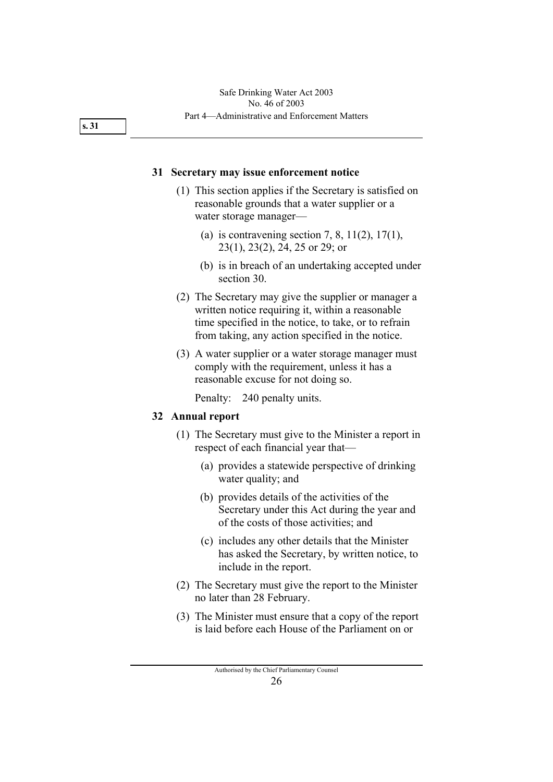#### **31 Secretary may issue enforcement notice**

- (1) This section applies if the Secretary is satisfied on reasonable grounds that a water supplier or a water storage manager—
	- (a) is contravening section 7, 8,  $11(2)$ ,  $17(1)$ , 23(1), 23(2), 24, 25 or 29; or
	- (b) is in breach of an undertaking accepted under section 30.
- (2) The Secretary may give the supplier or manager a written notice requiring it, within a reasonable time specified in the notice, to take, or to refrain from taking, any action specified in the notice.
- (3) A water supplier or a water storage manager must comply with the requirement, unless it has a reasonable excuse for not doing so.

Penalty: 240 penalty units.

#### **32 Annual report**

- (1) The Secretary must give to the Minister a report in respect of each financial year that—
	- (a) provides a statewide perspective of drinking water quality; and
	- (b) provides details of the activities of the Secretary under this Act during the year and of the costs of those activities; and
	- (c) includes any other details that the Minister has asked the Secretary, by written notice, to include in the report.
- (2) The Secretary must give the report to the Minister no later than 28 February.
- (3) The Minister must ensure that a copy of the report is laid before each House of the Parliament on or

**s. 31**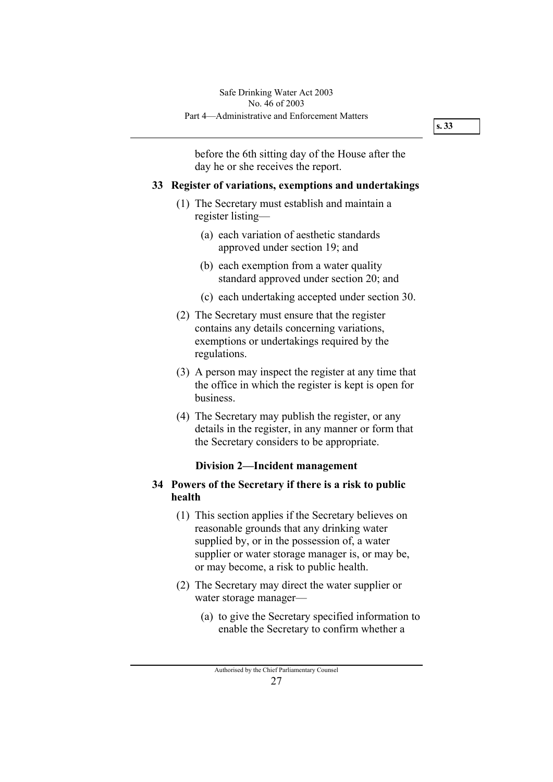before the 6th sitting day of the House after the day he or she receives the report.

### **33 Register of variations, exemptions and undertakings**

- (1) The Secretary must establish and maintain a register listing—
	- (a) each variation of aesthetic standards approved under section 19; and
	- (b) each exemption from a water quality standard approved under section 20; and
	- (c) each undertaking accepted under section 30.
- (2) The Secretary must ensure that the register contains any details concerning variations, exemptions or undertakings required by the regulations.
- (3) A person may inspect the register at any time that the office in which the register is kept is open for business.
- (4) The Secretary may publish the register, or any details in the register, in any manner or form that the Secretary considers to be appropriate.

### **Division 2—Incident management**

### **34 Powers of the Secretary if there is a risk to public health**

- (1) This section applies if the Secretary believes on reasonable grounds that any drinking water supplied by, or in the possession of, a water supplier or water storage manager is, or may be, or may become, a risk to public health.
- (2) The Secretary may direct the water supplier or water storage manager—
	- (a) to give the Secretary specified information to enable the Secretary to confirm whether a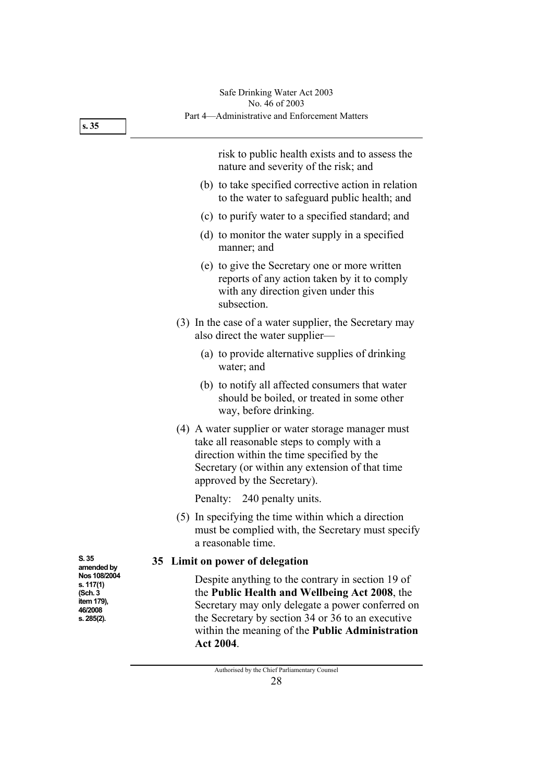|                                                                                                    | Safe Drinking Water Act 2003<br>No. 46 of 2003                                                                                                                                                                                                                              |
|----------------------------------------------------------------------------------------------------|-----------------------------------------------------------------------------------------------------------------------------------------------------------------------------------------------------------------------------------------------------------------------------|
| s.35                                                                                               | Part 4—Administrative and Enforcement Matters                                                                                                                                                                                                                               |
|                                                                                                    | risk to public health exists and to assess the<br>nature and severity of the risk; and                                                                                                                                                                                      |
|                                                                                                    | (b) to take specified corrective action in relation<br>to the water to safeguard public health; and                                                                                                                                                                         |
|                                                                                                    | (c) to purify water to a specified standard; and                                                                                                                                                                                                                            |
|                                                                                                    | (d) to monitor the water supply in a specified<br>manner; and                                                                                                                                                                                                               |
|                                                                                                    | (e) to give the Secretary one or more written<br>reports of any action taken by it to comply<br>with any direction given under this<br>subsection.                                                                                                                          |
|                                                                                                    | (3) In the case of a water supplier, the Secretary may<br>also direct the water supplier—                                                                                                                                                                                   |
|                                                                                                    | (a) to provide alternative supplies of drinking<br>water; and                                                                                                                                                                                                               |
|                                                                                                    | (b) to notify all affected consumers that water<br>should be boiled, or treated in some other<br>way, before drinking.                                                                                                                                                      |
|                                                                                                    | (4) A water supplier or water storage manager must<br>take all reasonable steps to comply with a<br>direction within the time specified by the<br>Secretary (or within any extension of that time<br>approved by the Secretary).                                            |
|                                                                                                    | 240 penalty units.<br>Penalty:                                                                                                                                                                                                                                              |
|                                                                                                    | (5) In specifying the time within which a direction<br>must be complied with, the Secretary must specify<br>a reasonable time.                                                                                                                                              |
| S. 35<br>amended by<br>Nos 108/2004<br>s. 117(1)<br>(Sch. 3<br>item 179),<br>46/2008<br>s. 285(2). | 35 Limit on power of delegation                                                                                                                                                                                                                                             |
|                                                                                                    | Despite anything to the contrary in section 19 of<br>the Public Health and Wellbeing Act 2008, the<br>Secretary may only delegate a power conferred on<br>the Secretary by section 34 or 36 to an executive<br>within the meaning of the Public Administration<br>Act 2004. |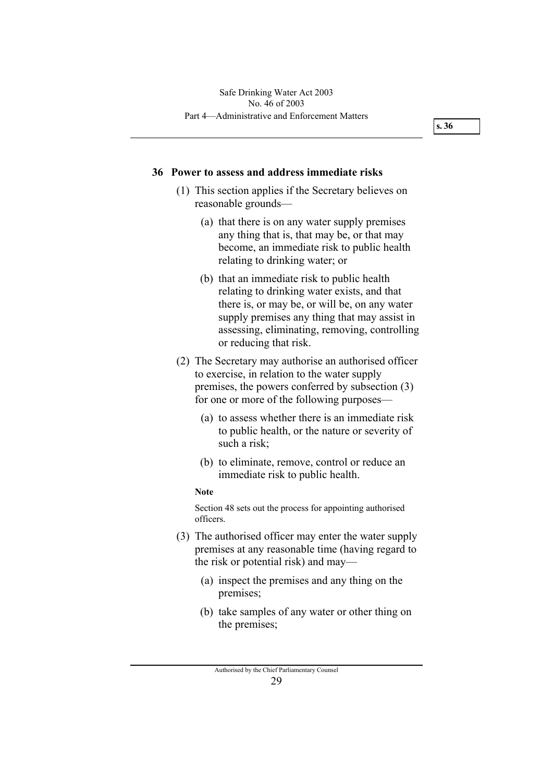#### **36 Power to assess and address immediate risks**

- (1) This section applies if the Secretary believes on reasonable grounds—
	- (a) that there is on any water supply premises any thing that is, that may be, or that may become, an immediate risk to public health relating to drinking water; or
	- (b) that an immediate risk to public health relating to drinking water exists, and that there is, or may be, or will be, on any water supply premises any thing that may assist in assessing, eliminating, removing, controlling or reducing that risk.
- (2) The Secretary may authorise an authorised officer to exercise, in relation to the water supply premises, the powers conferred by subsection (3) for one or more of the following purposes—
	- (a) to assess whether there is an immediate risk to public health, or the nature or severity of such a risk;
	- (b) to eliminate, remove, control or reduce an immediate risk to public health.

#### **Note**

Section 48 sets out the process for appointing authorised officers.

- (3) The authorised officer may enter the water supply premises at any reasonable time (having regard to the risk or potential risk) and may—
	- (a) inspect the premises and any thing on the premises;
	- (b) take samples of any water or other thing on the premises;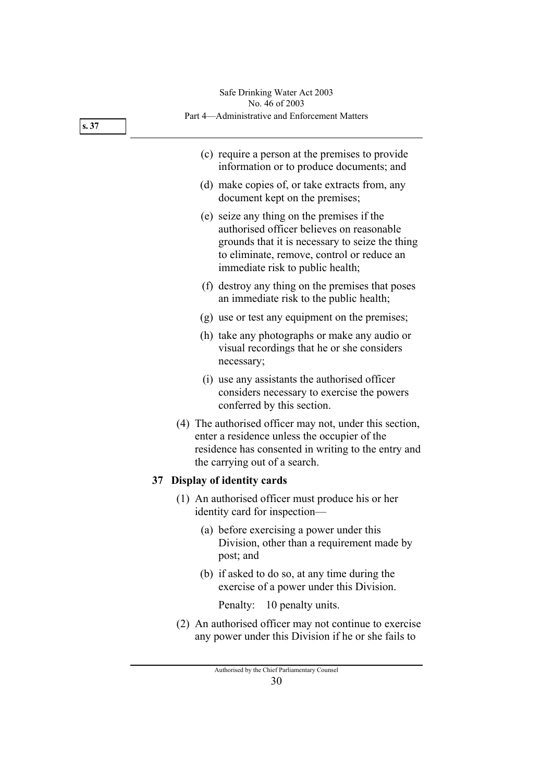|      | Safe Drinking Water Act 2003<br>No. 46 of 2003                                                                                                                                                                               |
|------|------------------------------------------------------------------------------------------------------------------------------------------------------------------------------------------------------------------------------|
| s.37 | Part 4—Administrative and Enforcement Matters                                                                                                                                                                                |
|      | (c) require a person at the premises to provide<br>information or to produce documents; and                                                                                                                                  |
|      | (d) make copies of, or take extracts from, any<br>document kept on the premises;                                                                                                                                             |
|      | (e) seize any thing on the premises if the<br>authorised officer believes on reasonable<br>grounds that it is necessary to seize the thing<br>to eliminate, remove, control or reduce an<br>immediate risk to public health; |
|      | (f) destroy any thing on the premises that poses<br>an immediate risk to the public health;                                                                                                                                  |
|      | (g) use or test any equipment on the premises;                                                                                                                                                                               |
|      | (h) take any photographs or make any audio or<br>visual recordings that he or she considers<br>necessary;                                                                                                                    |
|      | (i) use any assistants the authorised officer<br>considers necessary to exercise the powers<br>conferred by this section.                                                                                                    |
|      | (4) The authorised officer may not, under this section,<br>enter a residence unless the occupier of the<br>residence has consented in writing to the entry and<br>the carrying out of a search.                              |
|      | 37 Display of identity cards                                                                                                                                                                                                 |
|      | (1) An authorised officer must produce his or her<br>identity card for inspection-                                                                                                                                           |
|      | (a) before exercising a power under this<br>Division, other than a requirement made by<br>post; and                                                                                                                          |
|      | (b) if asked to do so, at any time during the<br>exercise of a power under this Division.                                                                                                                                    |
|      | Penalty: 10 penalty units.                                                                                                                                                                                                   |
|      | (2) An authorised officer may not continue to exercise<br>any power under this Division if he or she fails to                                                                                                                |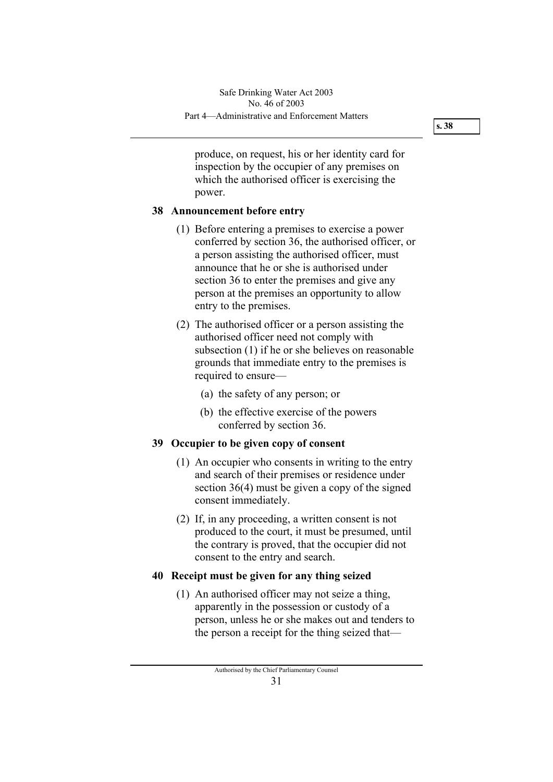produce, on request, his or her identity card for inspection by the occupier of any premises on which the authorised officer is exercising the power.

### **38 Announcement before entry**

- (1) Before entering a premises to exercise a power conferred by section 36, the authorised officer, or a person assisting the authorised officer, must announce that he or she is authorised under section 36 to enter the premises and give any person at the premises an opportunity to allow entry to the premises.
- (2) The authorised officer or a person assisting the authorised officer need not comply with subsection (1) if he or she believes on reasonable grounds that immediate entry to the premises is required to ensure—
	- (a) the safety of any person; or
	- (b) the effective exercise of the powers conferred by section 36.

### **39 Occupier to be given copy of consent**

- (1) An occupier who consents in writing to the entry and search of their premises or residence under section 36(4) must be given a copy of the signed consent immediately.
- (2) If, in any proceeding, a written consent is not produced to the court, it must be presumed, until the contrary is proved, that the occupier did not consent to the entry and search.

### **40 Receipt must be given for any thing seized**

 (1) An authorised officer may not seize a thing, apparently in the possession or custody of a person, unless he or she makes out and tenders to the person a receipt for the thing seized that—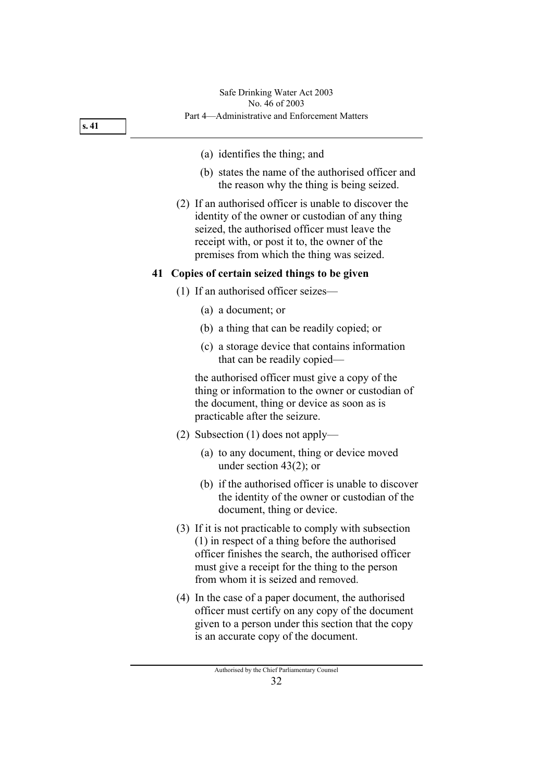# Safe Drinking Water Act 2003 No. 46 of 2003

**s. 41** 

| (a) identifies the thing; and                                                                                                                                                                                                                                |
|--------------------------------------------------------------------------------------------------------------------------------------------------------------------------------------------------------------------------------------------------------------|
| (b) states the name of the authorised officer and<br>the reason why the thing is being seized.                                                                                                                                                               |
| (2) If an authorised officer is unable to discover the<br>identity of the owner or custodian of any thing<br>seized, the authorised officer must leave the<br>receipt with, or post it to, the owner of the<br>premises from which the thing was seized.     |
| 41 Copies of certain seized things to be given                                                                                                                                                                                                               |
| $(1)$ If an authorised officer seizes—                                                                                                                                                                                                                       |
| (a) a document; or                                                                                                                                                                                                                                           |
| (b) a thing that can be readily copied; or                                                                                                                                                                                                                   |
| (c) a storage device that contains information<br>that can be readily copied-                                                                                                                                                                                |
| the authorised officer must give a copy of the<br>thing or information to the owner or custodian of<br>the document, thing or device as soon as is<br>practicable after the seizure.                                                                         |
| (2) Subsection (1) does not apply—                                                                                                                                                                                                                           |
| (a) to any document, thing or device moved<br>under section $43(2)$ ; or                                                                                                                                                                                     |
| (b) if the authorised officer is unable to discover<br>the identity of the owner or custodian of the<br>document, thing or device.                                                                                                                           |
| (3) If it is not practicable to comply with subsection<br>$(1)$ in respect of a thing before the authorised<br>officer finishes the search, the authorised officer<br>must give a receipt for the thing to the person<br>from whom it is seized and removed. |
| (4) In the case of a paper document, the authorised<br>officer must certify on any copy of the document<br>given to a person under this section that the copy<br>is an accurate copy of the document.                                                        |
| Authorised by the Chief Parliamentary Counsel<br>32                                                                                                                                                                                                          |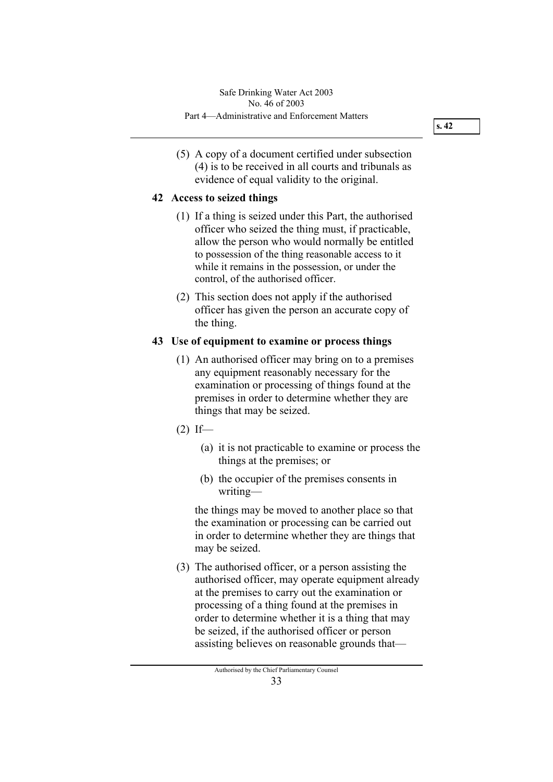(5) A copy of a document certified under subsection (4) is to be received in all courts and tribunals as evidence of equal validity to the original.

### **42 Access to seized things**

- (1) If a thing is seized under this Part, the authorised officer who seized the thing must, if practicable, allow the person who would normally be entitled to possession of the thing reasonable access to it while it remains in the possession, or under the control, of the authorised officer.
- (2) This section does not apply if the authorised officer has given the person an accurate copy of the thing.

### **43 Use of equipment to examine or process things**

- (1) An authorised officer may bring on to a premises any equipment reasonably necessary for the examination or processing of things found at the premises in order to determine whether they are things that may be seized.
- $(2)$  If—
	- (a) it is not practicable to examine or process the things at the premises; or
	- (b) the occupier of the premises consents in writing—

the things may be moved to another place so that the examination or processing can be carried out in order to determine whether they are things that may be seized.

 (3) The authorised officer, or a person assisting the authorised officer, may operate equipment already at the premises to carry out the examination or processing of a thing found at the premises in order to determine whether it is a thing that may be seized, if the authorised officer or person assisting believes on reasonable grounds that—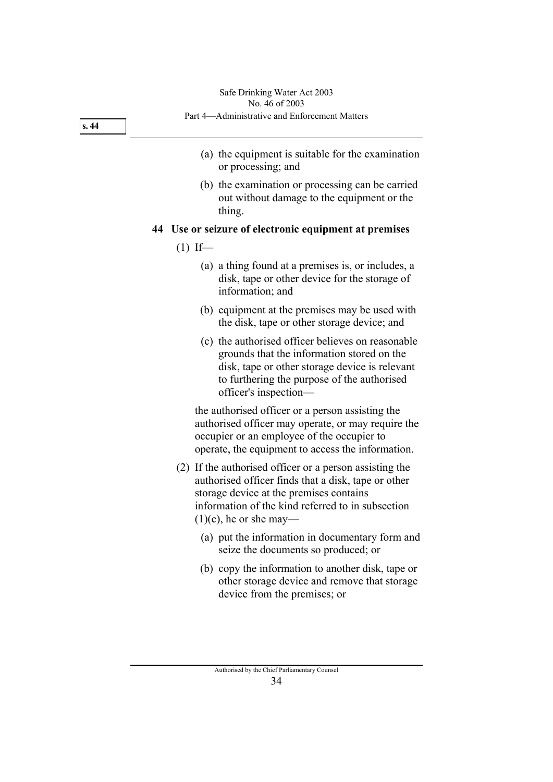- (a) the equipment is suitable for the examination or processing; and
- (b) the examination or processing can be carried out without damage to the equipment or the thing.

 **44 Use or seizure of electronic equipment at premises** 

- $(1)$  If—
	- (a) a thing found at a premises is, or includes, a disk, tape or other device for the storage of information; and
	- (b) equipment at the premises may be used with the disk, tape or other storage device; and
	- (c) the authorised officer believes on reasonable grounds that the information stored on the disk, tape or other storage device is relevant to furthering the purpose of the authorised officer's inspection—

the authorised officer or a person assisting the authorised officer may operate, or may require the occupier or an employee of the occupier to operate, the equipment to access the information.

- (2) If the authorised officer or a person assisting the authorised officer finds that a disk, tape or other storage device at the premises contains information of the kind referred to in subsection  $(1)(c)$ , he or she may—
	- (a) put the information in documentary form and seize the documents so produced; or
	- (b) copy the information to another disk, tape or other storage device and remove that storage device from the premises; or

**s. 44**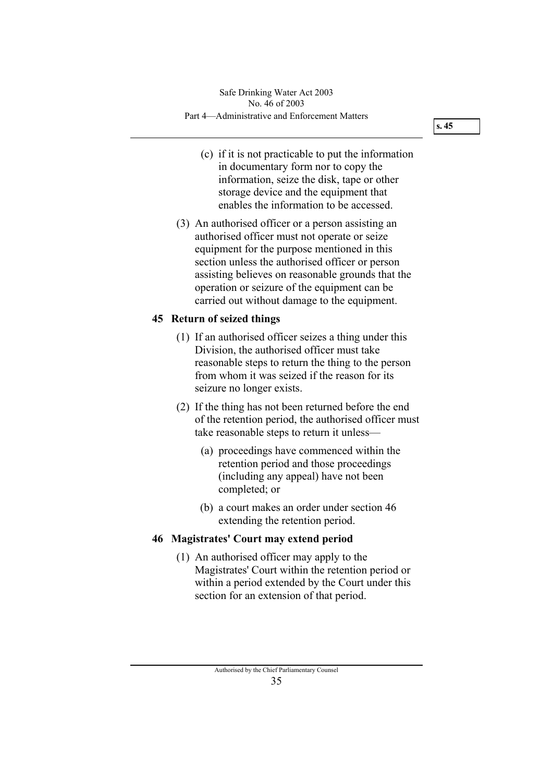- (c) if it is not practicable to put the information in documentary form nor to copy the information, seize the disk, tape or other storage device and the equipment that enables the information to be accessed.
- (3) An authorised officer or a person assisting an authorised officer must not operate or seize equipment for the purpose mentioned in this section unless the authorised officer or person assisting believes on reasonable grounds that the operation or seizure of the equipment can be carried out without damage to the equipment.

### **45 Return of seized things**

- (1) If an authorised officer seizes a thing under this Division, the authorised officer must take reasonable steps to return the thing to the person from whom it was seized if the reason for its seizure no longer exists.
- (2) If the thing has not been returned before the end of the retention period, the authorised officer must take reasonable steps to return it unless—
	- (a) proceedings have commenced within the retention period and those proceedings (including any appeal) have not been completed; or
	- (b) a court makes an order under section 46 extending the retention period.

### **46 Magistrates' Court may extend period**

 (1) An authorised officer may apply to the Magistrates' Court within the retention period or within a period extended by the Court under this section for an extension of that period.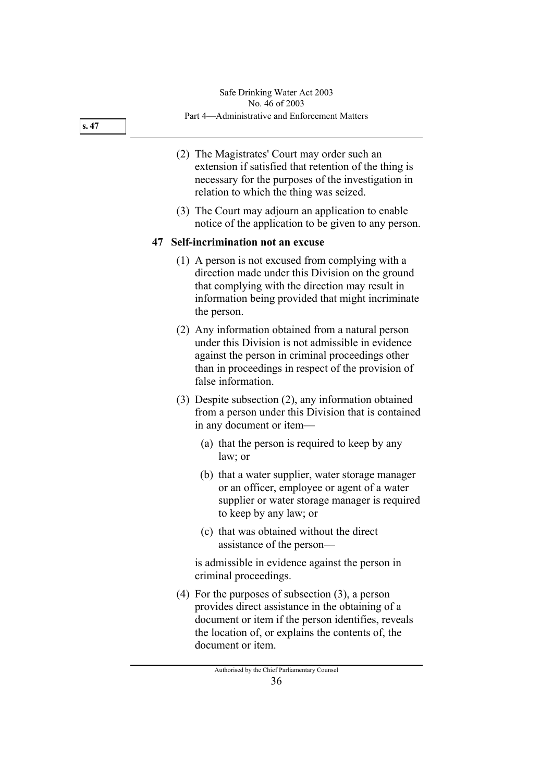#### **s. 47**

- (2) The Magistrates' Court may order such an extension if satisfied that retention of the thing is necessary for the purposes of the investigation in relation to which the thing was seized.
- (3) The Court may adjourn an application to enable notice of the application to be given to any person.

### **47 Self-incrimination not an excuse**

- (1) A person is not excused from complying with a direction made under this Division on the ground that complying with the direction may result in information being provided that might incriminate the person.
- (2) Any information obtained from a natural person under this Division is not admissible in evidence against the person in criminal proceedings other than in proceedings in respect of the provision of false information.
- (3) Despite subsection (2), any information obtained from a person under this Division that is contained in any document or item—
	- (a) that the person is required to keep by any law; or
	- (b) that a water supplier, water storage manager or an officer, employee or agent of a water supplier or water storage manager is required to keep by any law; or
	- (c) that was obtained without the direct assistance of the person—

is admissible in evidence against the person in criminal proceedings.

 (4) For the purposes of subsection (3), a person provides direct assistance in the obtaining of a document or item if the person identifies, reveals the location of, or explains the contents of, the document or item.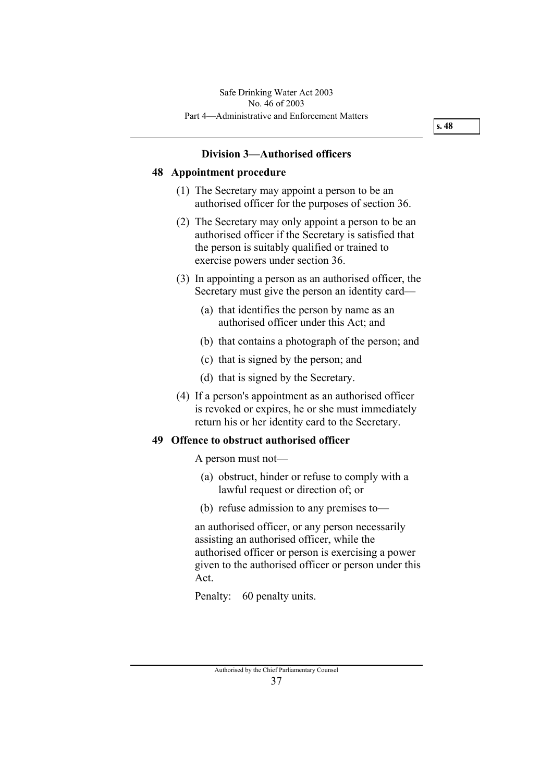### **Division 3—Authorised officers**

#### **48 Appointment procedure**

- (1) The Secretary may appoint a person to be an authorised officer for the purposes of section 36.
- (2) The Secretary may only appoint a person to be an authorised officer if the Secretary is satisfied that the person is suitably qualified or trained to exercise powers under section 36.
- (3) In appointing a person as an authorised officer, the Secretary must give the person an identity card—
	- (a) that identifies the person by name as an authorised officer under this Act; and
	- (b) that contains a photograph of the person; and
	- (c) that is signed by the person; and
	- (d) that is signed by the Secretary.
- (4) If a person's appointment as an authorised officer is revoked or expires, he or she must immediately return his or her identity card to the Secretary.

### **49 Offence to obstruct authorised officer**

A person must not—

- (a) obstruct, hinder or refuse to comply with a lawful request or direction of; or
- (b) refuse admission to any premises to—

an authorised officer, or any person necessarily assisting an authorised officer, while the authorised officer or person is exercising a power given to the authorised officer or person under this Act.

Penalty: 60 penalty units.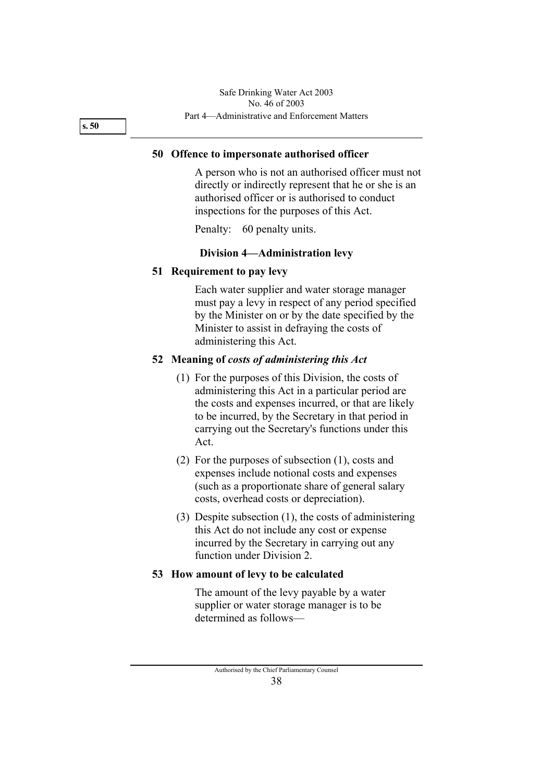**s. 50** 

#### **50 Offence to impersonate authorised officer**

A person who is not an authorised officer must not directly or indirectly represent that he or she is an authorised officer or is authorised to conduct inspections for the purposes of this Act.

Penalty: 60 penalty units.

#### **Division 4—Administration levy**

#### **51 Requirement to pay levy**

Each water supplier and water storage manager must pay a levy in respect of any period specified by the Minister on or by the date specified by the Minister to assist in defraying the costs of administering this Act.

#### **52 Meaning of** *costs of administering this Act*

- (1) For the purposes of this Division, the costs of administering this Act in a particular period are the costs and expenses incurred, or that are likely to be incurred, by the Secretary in that period in carrying out the Secretary's functions under this Act.
- (2) For the purposes of subsection (1), costs and expenses include notional costs and expenses (such as a proportionate share of general salary costs, overhead costs or depreciation).
- (3) Despite subsection (1), the costs of administering this Act do not include any cost or expense incurred by the Secretary in carrying out any function under Division 2.

#### **53 How amount of levy to be calculated**

The amount of the levy payable by a water supplier or water storage manager is to be determined as follows—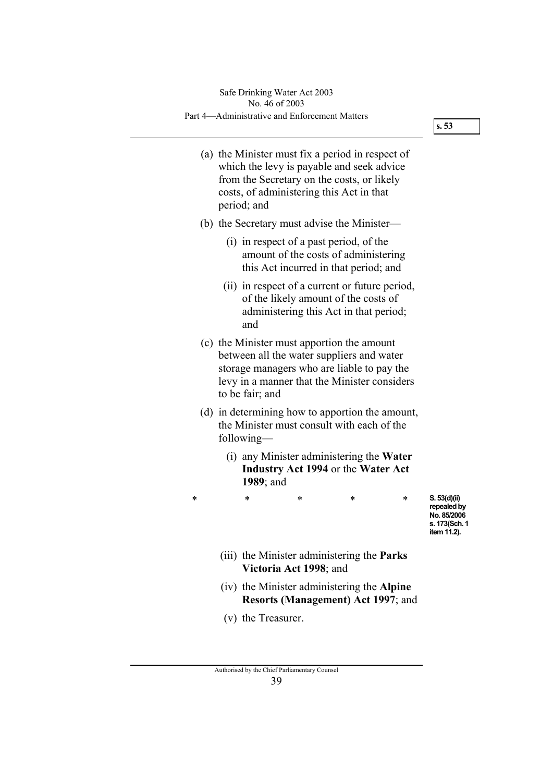**s. 53** 

- (a) the Minister must fix a period in respect of which the levy is payable and seek advice from the Secretary on the costs, or likely costs, of administering this Act in that period; and
- (b) the Secretary must advise the Minister—
	- (i) in respect of a past period, of the amount of the costs of administering this Act incurred in that period; and
	- (ii) in respect of a current or future period, of the likely amount of the costs of administering this Act in that period; and
- (c) the Minister must apportion the amount between all the water suppliers and water storage managers who are liable to pay the levy in a manner that the Minister considers to be fair; and
- (d) in determining how to apportion the amount, the Minister must consult with each of the following—
	- (i) any Minister administering the **Water Industry Act 1994** or the **Water Act 1989**; and
- \* \* \* \* \*

**S. 53(d)(ii) repealed by No. 85/2006 s. 173(Sch. 1 item 11.2).** 

- (iii) the Minister administering the **Parks Victoria Act 1998**; and
- (iv) the Minister administering the **Alpine Resorts (Management) Act 1997**; and
- (v) the Treasurer.

Authorised by the Chief Parliamentary Counsel 39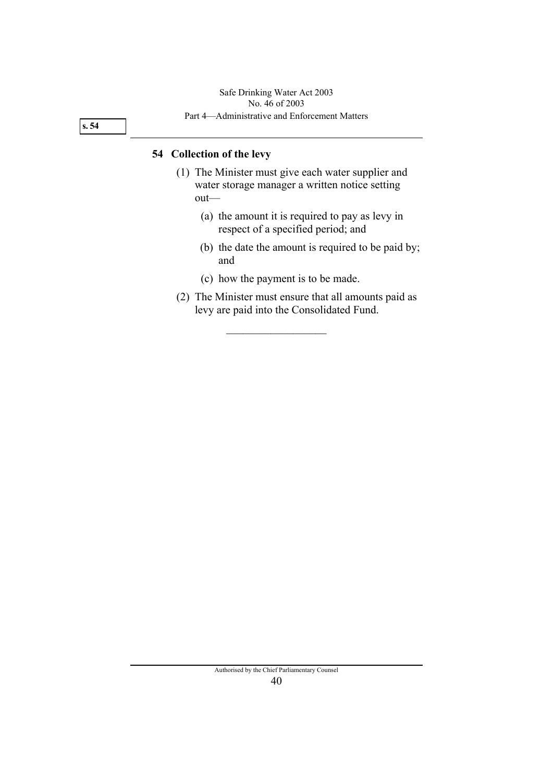**s. 54** 

#### **54 Collection of the levy**

- (1) The Minister must give each water supplier and water storage manager a written notice setting out—
	- (a) the amount it is required to pay as levy in respect of a specified period; and
	- (b) the date the amount is required to be paid by; and
	- (c) how the payment is to be made.

 $\overline{\phantom{a}}$  , where  $\overline{\phantom{a}}$ 

 (2) The Minister must ensure that all amounts paid as levy are paid into the Consolidated Fund.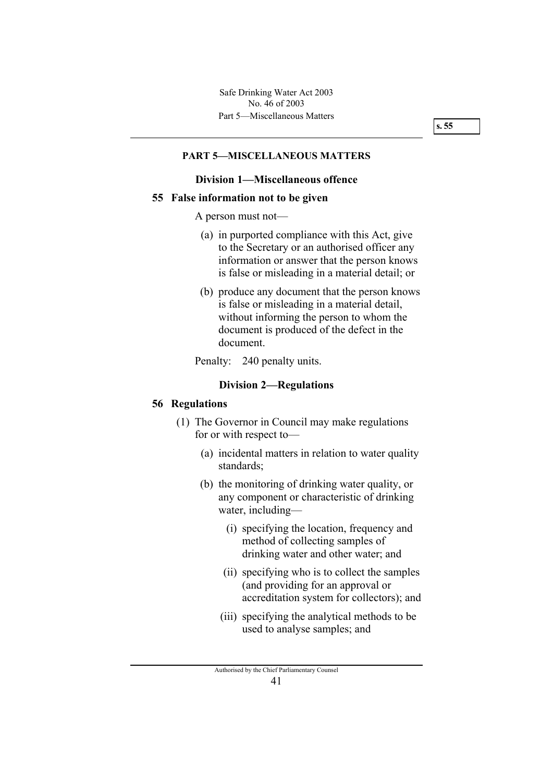#### **PART 5—MISCELLANEOUS MATTERS**

#### **Division 1—Miscellaneous offence**

#### **55 False information not to be given**

A person must not—

- (a) in purported compliance with this Act, give to the Secretary or an authorised officer any information or answer that the person knows is false or misleading in a material detail; or
- (b) produce any document that the person knows is false or misleading in a material detail, without informing the person to whom the document is produced of the defect in the document.

Penalty: 240 penalty units.

#### **Division 2—Regulations**

#### **56 Regulations**

- (1) The Governor in Council may make regulations for or with respect to—
	- (a) incidental matters in relation to water quality standards;
	- (b) the monitoring of drinking water quality, or any component or characteristic of drinking water, including—
		- (i) specifying the location, frequency and method of collecting samples of drinking water and other water; and
		- (ii) specifying who is to collect the samples (and providing for an approval or accreditation system for collectors); and
		- (iii) specifying the analytical methods to be used to analyse samples; and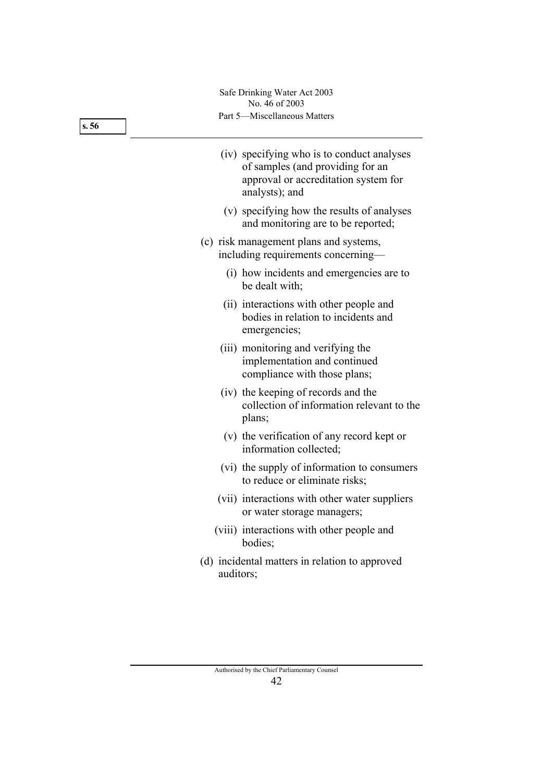Part 5—Miscellaneous Matters Safe Drinking Water Act 2003 No. 46 of 2003

- (iv) specifying who is to conduct analyses of samples (and providing for an approval or accreditation system for analysts); and
- (v) specifying how the results of analyses and monitoring are to be reported;
- (c) risk management plans and systems, including requirements concerning—
	- (i) how incidents and emergencies are to be dealt with;
	- (ii) interactions with other people and bodies in relation to incidents and emergencies;
	- (iii) monitoring and verifying the implementation and continued compliance with those plans;
	- (iv) the keeping of records and the collection of information relevant to the plans;
	- (v) the verification of any record kept or information collected;
	- (vi) the supply of information to consumers to reduce or eliminate risks;
	- (vii) interactions with other water suppliers or water storage managers;
	- (viii) interactions with other people and bodies;
- (d) incidental matters in relation to approved auditors;

**s. 56**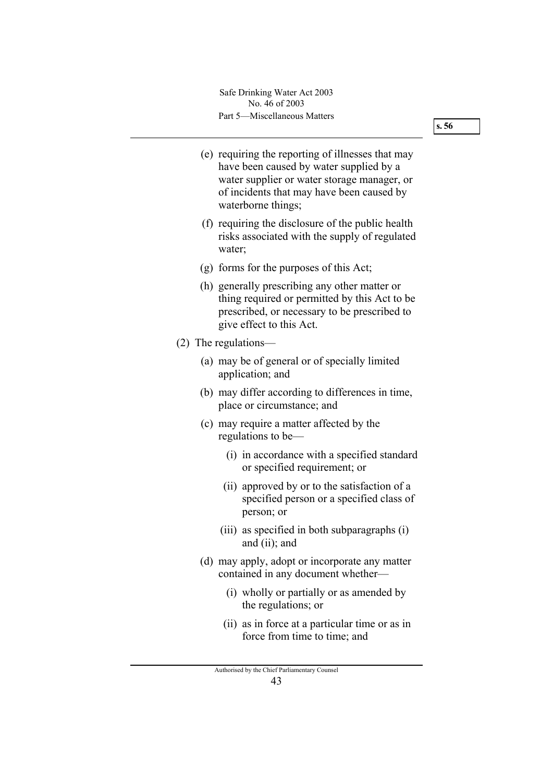Part 5—Miscellaneous Matters Safe Drinking Water Act 2003 No. 46 of 2003

- (e) requiring the reporting of illnesses that may have been caused by water supplied by a water supplier or water storage manager, or of incidents that may have been caused by waterborne things;
- (f) requiring the disclosure of the public health risks associated with the supply of regulated water;
- (g) forms for the purposes of this Act;
- (h) generally prescribing any other matter or thing required or permitted by this Act to be prescribed, or necessary to be prescribed to give effect to this Act.
- (2) The regulations—
	- (a) may be of general or of specially limited application; and
	- (b) may differ according to differences in time, place or circumstance; and
	- (c) may require a matter affected by the regulations to be—
		- (i) in accordance with a specified standard or specified requirement; or
		- (ii) approved by or to the satisfaction of a specified person or a specified class of person; or
		- (iii) as specified in both subparagraphs (i) and (ii); and
	- (d) may apply, adopt or incorporate any matter contained in any document whether—
		- (i) wholly or partially or as amended by the regulations; or
		- (ii) as in force at a particular time or as in force from time to time; and

Authorised by the Chief Parliamentary Counsel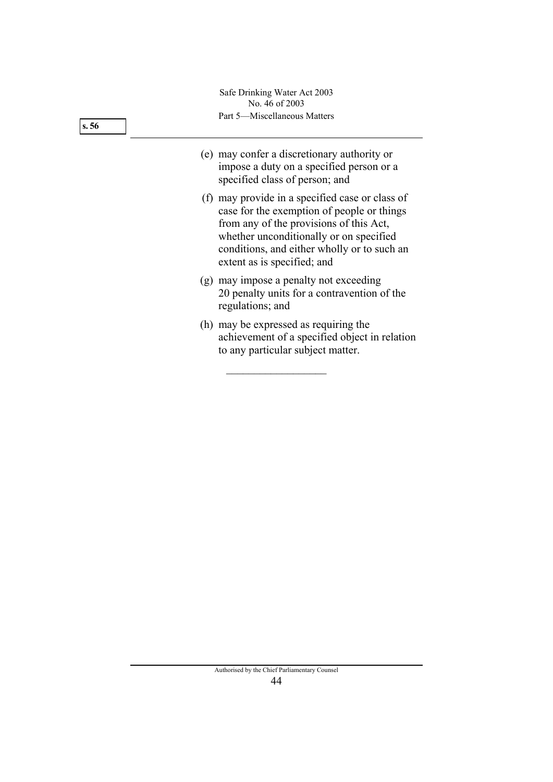Part 5—Miscellaneous Matters Safe Drinking Water Act 2003 No. 46 of 2003

- (e) may confer a discretionary authority or impose a duty on a specified person or a specified class of person; and
	- (f) may provide in a specified case or class of case for the exemption of people or things from any of the provisions of this Act, whether unconditionally or on specified conditions, and either wholly or to such an extent as is specified; and
	- (g) may impose a penalty not exceeding 20 penalty units for a contravention of the regulations; and
	- (h) may be expressed as requiring the achievement of a specified object in relation to any particular subject matter.

 $\overline{\phantom{a}}$  , where  $\overline{\phantom{a}}$ 

Authorised by the Chief Parliamentary Counsel 44

**s. 56**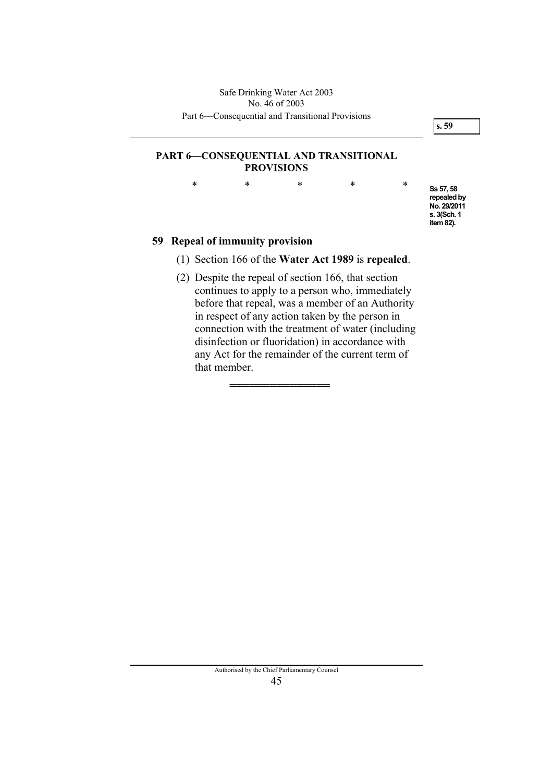**Ss 57, 58 repealed by No. 29/2011 s. 3(Sch. 1 item 82).** 

#### **PART 6—CONSEQUENTIAL AND TRANSITIONAL PROVISIONS**

\* \* \* \* \*

### **59 Repeal of immunity provision**

- (1) Section 166 of the **Water Act 1989** is **repealed**.
- (2) Despite the repeal of section 166, that section continues to apply to a person who, immediately before that repeal, was a member of an Authority in respect of any action taken by the person in connection with the treatment of water (including disinfection or fluoridation) in accordance with any Act for the remainder of the current term of that member.

═══════════════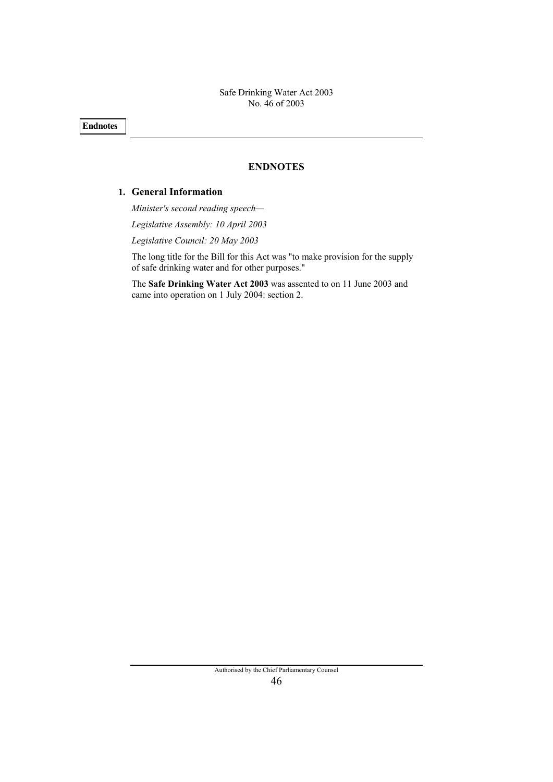**Endnotes** 

#### **ENDNOTES**

### **1. General Information**

*Minister's second reading speech— Legislative Assembly: 10 April 2003 Legislative Council: 20 May 2003* 

The long title for the Bill for this Act was "to make provision for the supply of safe drinking water and for other purposes."

The **Safe Drinking Water Act 2003** was assented to on 11 June 2003 and came into operation on 1 July 2004: section 2.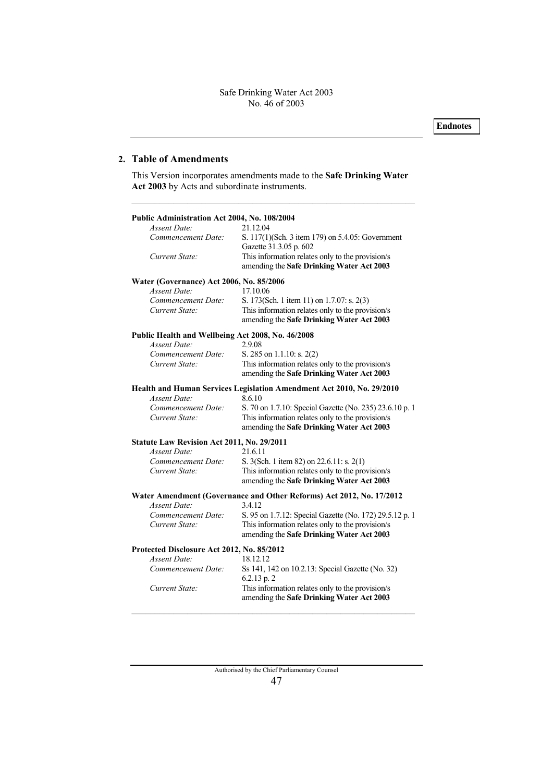#### **2. Table of Amendments**

This Version incorporates amendments made to the **Safe Drinking Water Act 2003** by Acts and subordinate instruments.

–––––––––––––––––––––––––––––––––––––––––––––––––––––––––––––

| Public Administration Act 2004, No. 108/2004<br>Assent Date: | 21.12.04                                                                                                                                                 |
|--------------------------------------------------------------|----------------------------------------------------------------------------------------------------------------------------------------------------------|
| Commencement Date:                                           | S. 117(1)(Sch. 3 item 179) on 5.4.05: Government<br>Gazette 31.3.05 p. 602                                                                               |
| Current State:                                               | This information relates only to the provision/s<br>amending the Safe Drinking Water Act 2003                                                            |
| Water (Governance) Act 2006, No. 85/2006                     |                                                                                                                                                          |
| <b>Assent Date:</b>                                          | 17.10.06                                                                                                                                                 |
| Commencement Date:                                           | S. 173(Sch. 1 item 11) on 1.7.07: s. 2(3)                                                                                                                |
| Current State:                                               | This information relates only to the provision/s<br>amending the Safe Drinking Water Act 2003                                                            |
| Public Health and Wellbeing Act 2008, No. 46/2008            |                                                                                                                                                          |
| <b>Assent Date:</b>                                          | 2.9.08                                                                                                                                                   |
| Commencement Date:                                           | S. 285 on $1.1.10$ : s. 2(2)                                                                                                                             |
| Current State:                                               | This information relates only to the provision/s<br>amending the Safe Drinking Water Act 2003                                                            |
|                                                              | Health and Human Services Legislation Amendment Act 2010, No. 29/2010                                                                                    |
| <b>Assent Date:</b>                                          | 8.6.10                                                                                                                                                   |
| Commencement Date:<br>Current State:                         | S. 70 on 1.7.10: Special Gazette (No. 235) 23.6.10 p. 1<br>This information relates only to the provision/s<br>amending the Safe Drinking Water Act 2003 |
| Statute Law Revision Act 2011, No. 29/2011                   |                                                                                                                                                          |
| <b>Assent Date:</b>                                          | 21.6.11                                                                                                                                                  |
| Commencement Date:                                           | S. 3(Sch. 1 item 82) on 22.6.11: s. 2(1)                                                                                                                 |
| Current State:                                               | This information relates only to the provision/s<br>amending the Safe Drinking Water Act 2003                                                            |
|                                                              | Water Amendment (Governance and Other Reforms) Act 2012, No. 17/2012                                                                                     |
| Assent Date:                                                 | 3.4.12                                                                                                                                                   |
| Commencement Date:                                           | S. 95 on 1.7.12: Special Gazette (No. 172) 29.5.12 p. 1                                                                                                  |
| Current State:                                               | This information relates only to the provision/s<br>amending the Safe Drinking Water Act 2003                                                            |
| Protected Disclosure Act 2012, No. 85/2012                   |                                                                                                                                                          |
| Assent Date:                                                 | 18.12.12                                                                                                                                                 |
| Commencement Date:                                           | Ss 141, 142 on 10.2.13: Special Gazette (No. 32)<br>6.2.13 p. 2                                                                                          |
| Current State:                                               | This information relates only to the provision/s<br>amending the Safe Drinking Water Act 2003                                                            |

–––––––––––––––––––––––––––––––––––––––––––––––––––––––––––––